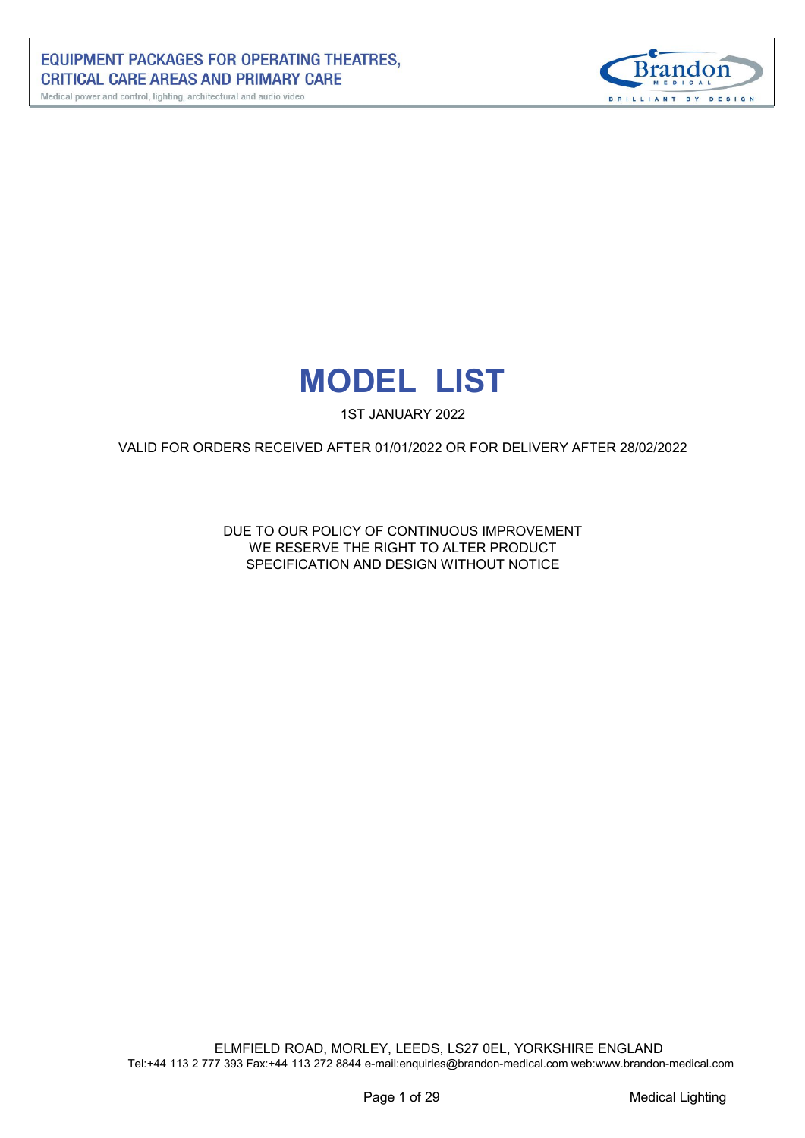



1ST JANUARY 2022

VALID FOR ORDERS RECEIVED AFTER 01/01/2022 OR FOR DELIVERY AFTER 28/02/2022

DUE TO OUR POLICY OF CONTINUOUS IMPROVEMENT WE RESERVE THE RIGHT TO ALTER PRODUCT SPECIFICATION AND DESIGN WITHOUT NOTICE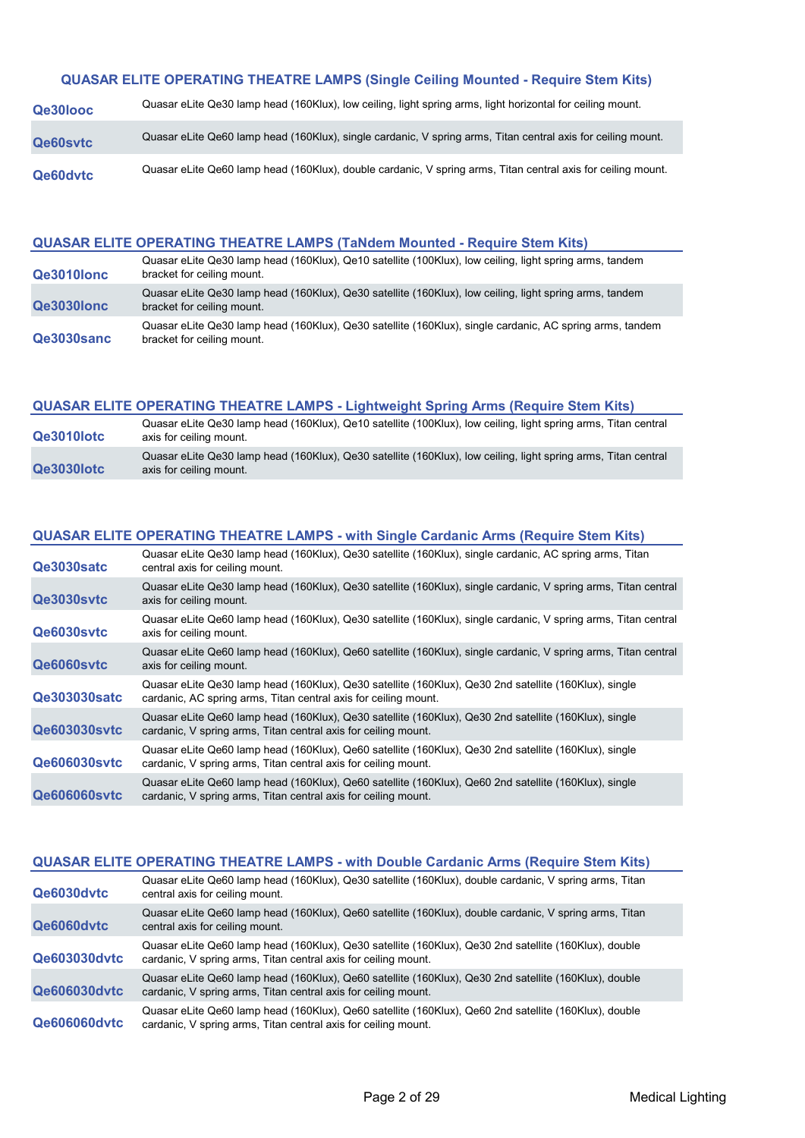## **QUASAR ELITE OPERATING THEATRE LAMPS (Single Ceiling Mounted - Require Stem Kits)**

| Qe30looc        | Quasar eLite Qe30 lamp head (160Klux), low ceiling, light spring arms, light horizontal for ceiling mount.   |
|-----------------|--------------------------------------------------------------------------------------------------------------|
| <b>Qe60sytc</b> | Quasar eLite Qe60 lamp head (160Klux), single cardanic, V spring arms, Titan central axis for ceiling mount. |
| Qe60dvtc        | Quasar eLite Qe60 lamp head (160Klux), double cardanic, V spring arms, Titan central axis for ceiling mount. |

#### **QUASAR ELITE OPERATING THEATRE LAMPS (TaNdem Mounted - Require Stem Kits)**

| Qe3010lonc | Quasar eLite Qe30 lamp head (160Klux), Qe10 satellite (100Klux), low ceiling, light spring arms, tandem<br>bracket for ceiling mount.  |
|------------|----------------------------------------------------------------------------------------------------------------------------------------|
| Qe3030lonc | Quasar eLite Qe30 lamp head (160Klux), Qe30 satellite (160Klux), low ceiling, light spring arms, tandem<br>bracket for ceiling mount.  |
| Qe3030sanc | Quasar eLite Qe30 lamp head (160Klux), Qe30 satellite (160Klux), single cardanic, AC spring arms, tandem<br>bracket for ceiling mount. |

## **QUASAR ELITE OPERATING THEATRE LAMPS - Lightweight Spring Arms (Require Stem Kits)**

| Qe3010lotc | Quasar eLite Qe30 lamp head (160Klux), Qe10 satellite (100Klux), low ceiling, light spring arms, Titan central<br>axis for ceiling mount. |
|------------|-------------------------------------------------------------------------------------------------------------------------------------------|
| Qe3030lotc | Quasar eLite Qe30 lamp head (160Klux), Qe30 satellite (160Klux), low ceiling, light spring arms, Titan central<br>axis for ceiling mount. |

## **QUASAR ELITE OPERATING THEATRE LAMPS - with Single Cardanic Arms (Require Stem Kits)**

| Qe3030satc          | Quasar eLite Qe30 lamp head (160Klux), Qe30 satellite (160Klux), single cardanic, AC spring arms, Titan<br>central axis for ceiling mount.                               |
|---------------------|--------------------------------------------------------------------------------------------------------------------------------------------------------------------------|
| Qe3030sytc          | Quasar eLite Qe30 lamp head (160Klux), Qe30 satellite (160Klux), single cardanic, V spring arms, Titan central<br>axis for ceiling mount.                                |
| Qe6030sytc          | Quasar eLite Qe60 lamp head (160Klux), Qe30 satellite (160Klux), single cardanic, V spring arms, Titan central<br>axis for ceiling mount.                                |
| Qe6060sytc          | Quasar eLite Qe60 lamp head (160Klux), Qe60 satellite (160Klux), single cardanic, V spring arms, Titan central<br>axis for ceiling mount.                                |
| <b>Qe303030satc</b> | Quasar eLite Qe30 lamp head (160Klux), Qe30 satellite (160Klux), Qe30 2nd satellite (160Klux), single<br>cardanic, AC spring arms, Titan central axis for ceiling mount. |
| <b>Qe603030sytc</b> | Quasar eLite Qe60 lamp head (160Klux), Qe30 satellite (160Klux), Qe30 2nd satellite (160Klux), single<br>cardanic, V spring arms, Titan central axis for ceiling mount.  |
| <b>Qe606030sytc</b> | Quasar eLite Qe60 lamp head (160Klux), Qe60 satellite (160Klux), Qe30 2nd satellite (160Klux), single<br>cardanic, V spring arms, Titan central axis for ceiling mount.  |
| <b>Qe606060svtc</b> | Quasar eLite Qe60 lamp head (160Klux), Qe60 satellite (160Klux), Qe60 2nd satellite (160Klux), single<br>cardanic, V spring arms, Titan central axis for ceiling mount.  |

## **QUASAR ELITE OPERATING THEATRE LAMPS - with Double Cardanic Arms (Require Stem Kits)**

| Qe6030dvtc          | Quasar eLite Qe60 lamp head (160Klux), Qe30 satellite (160Klux), double cardanic, V spring arms, Titan<br>central axis for ceiling mount.                               |
|---------------------|-------------------------------------------------------------------------------------------------------------------------------------------------------------------------|
| Qe6060dvtc          | Quasar eLite Qe60 lamp head (160Klux), Qe60 satellite (160Klux), double cardanic, V spring arms, Titan<br>central axis for ceiling mount.                               |
| Qe603030dytc        | Quasar eLite Qe60 lamp head (160Klux), Qe30 satellite (160Klux), Qe30 2nd satellite (160Klux), double<br>cardanic, V spring arms, Titan central axis for ceiling mount. |
| <b>Qe606030dvtc</b> | Quasar eLite Qe60 lamp head (160Klux), Qe60 satellite (160Klux), Qe30 2nd satellite (160Klux), double<br>cardanic, V spring arms, Titan central axis for ceiling mount. |
| <b>Qe606060dvtc</b> | Quasar eLite Qe60 lamp head (160Klux), Qe60 satellite (160Klux), Qe60 2nd satellite (160Klux), double<br>cardanic, V spring arms, Titan central axis for ceiling mount. |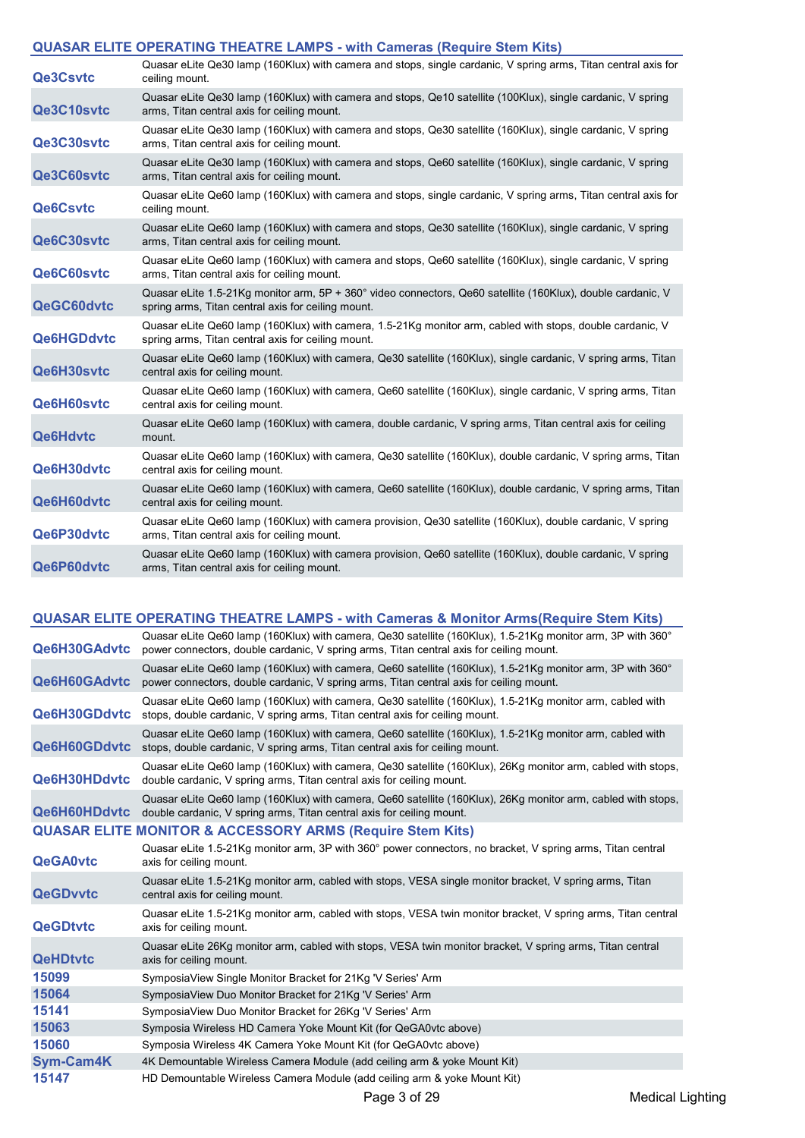## **QUASAR ELITE OPERATING THEATRE LAMPS - with Cameras (Require Stem Kits)**

|                   | <b>EDITE OF ERATING THEATING EATH OF WILL CALIFUL AND A REPORT OF A LIGHT</b>                                                                                     |
|-------------------|-------------------------------------------------------------------------------------------------------------------------------------------------------------------|
| <b>Qe3Csvtc</b>   | Quasar eLite Qe30 lamp (160Klux) with camera and stops, single cardanic, V spring arms, Titan central axis for<br>ceiling mount.                                  |
| Qe3C10svtc        | Quasar eLite Qe30 lamp (160Klux) with camera and stops, Qe10 satellite (100Klux), single cardanic, V spring<br>arms, Titan central axis for ceiling mount.        |
| Qe3C30svtc        | Quasar eLite Qe30 lamp (160Klux) with camera and stops, Qe30 satellite (160Klux), single cardanic, V spring<br>arms. Titan central axis for ceiling mount.        |
| Qe3C60svtc        | Quasar eLite Qe30 lamp (160Klux) with camera and stops, Qe60 satellite (160Klux), single cardanic, V spring<br>arms, Titan central axis for ceiling mount.        |
| <b>Qe6Csvtc</b>   | Quasar eLite Qe60 lamp (160Klux) with camera and stops, single cardanic, V spring arms, Titan central axis for<br>ceiling mount.                                  |
| Qe6C30svtc        | Quasar eLite Qe60 lamp (160Klux) with camera and stops, Qe30 satellite (160Klux), single cardanic, V spring<br>arms, Titan central axis for ceiling mount.        |
| Qe6C60svtc        | Quasar eLite Qe60 lamp (160Klux) with camera and stops, Qe60 satellite (160Klux), single cardanic, V spring<br>arms, Titan central axis for ceiling mount.        |
| QeGC60dvtc        | Quasar eLite 1.5-21Kg monitor arm, 5P + 360° video connectors, Qe60 satellite (160Klux), double cardanic, V<br>spring arms, Titan central axis for ceiling mount. |
| <b>Qe6HGDdvtc</b> | Quasar eLite Qe60 lamp (160Klux) with camera, 1.5-21Kg monitor arm, cabled with stops, double cardanic, V<br>spring arms, Titan central axis for ceiling mount.   |
| Qe6H30svtc        | Quasar eLite Qe60 lamp (160Klux) with camera, Qe30 satellite (160Klux), single cardanic, V spring arms, Titan<br>central axis for ceiling mount.                  |
| Qe6H60svtc        | Quasar eLite Qe60 lamp (160Klux) with camera, Qe60 satellite (160Klux), single cardanic, V spring arms, Titan<br>central axis for ceiling mount.                  |
| <b>Qe6Hdvtc</b>   | Quasar eLite Qe60 lamp (160Klux) with camera, double cardanic, V spring arms, Titan central axis for ceiling<br>mount.                                            |
| Qe6H30dvtc        | Quasar eLite Qe60 lamp (160Klux) with camera, Qe30 satellite (160Klux), double cardanic, V spring arms, Titan<br>central axis for ceiling mount.                  |
| Qe6H60dvtc        | Quasar eLite Qe60 lamp (160Klux) with camera, Qe60 satellite (160Klux), double cardanic, V spring arms, Titan<br>central axis for ceiling mount.                  |
| Qe6P30dvtc        | Quasar eLite Qe60 lamp (160Klux) with camera provision, Qe30 satellite (160Klux), double cardanic, V spring<br>arms, Titan central axis for ceiling mount.        |
| Qe6P60dvtc        | Quasar eLite Qe60 lamp (160Klux) with camera provision, Qe60 satellite (160Klux), double cardanic, V spring<br>arms, Titan central axis for ceiling mount.        |

|                     | QUASAR ELITE OPERATING THEATRE LAMPS - with Cameras & Monitor Arms(Require Stem Kits)                                                                                                                 |                         |
|---------------------|-------------------------------------------------------------------------------------------------------------------------------------------------------------------------------------------------------|-------------------------|
| Qe6H30GAdvtc        | Quasar eLite Qe60 lamp (160Klux) with camera, Qe30 satellite (160Klux), 1.5-21Kg monitor arm, 3P with 360°<br>power connectors, double cardanic, V spring arms, Titan central axis for ceiling mount. |                         |
| Qe6H60GAdvtc        | Quasar eLite Qe60 lamp (160Klux) with camera, Qe60 satellite (160Klux), 1.5-21Kg monitor arm, 3P with 360°<br>power connectors, double cardanic, V spring arms, Titan central axis for ceiling mount. |                         |
| Qe6H30GDdvtc        | Quasar eLite Qe60 lamp (160Klux) with camera, Qe30 satellite (160Klux), 1.5-21Kg monitor arm, cabled with<br>stops, double cardanic, V spring arms, Titan central axis for ceiling mount.             |                         |
| <b>Qe6H60GDdvtc</b> | Quasar eLite Qe60 lamp (160Klux) with camera, Qe60 satellite (160Klux), 1.5-21Kg monitor arm, cabled with<br>stops, double cardanic, V spring arms, Titan central axis for ceiling mount.             |                         |
| Qe6H30HDdvtc        | Quasar eLite Qe60 lamp (160Klux) with camera, Qe30 satellite (160Klux), 26Kg monitor arm, cabled with stops,<br>double cardanic, V spring arms, Titan central axis for ceiling mount.                 |                         |
| Qe6H60HDdvtc        | Quasar eLite Qe60 lamp (160Klux) with camera, Qe60 satellite (160Klux), 26Kg monitor arm, cabled with stops,<br>double cardanic, V spring arms, Titan central axis for ceiling mount.                 |                         |
|                     | <b>QUASAR ELITE MONITOR &amp; ACCESSORY ARMS (Require Stem Kits)</b>                                                                                                                                  |                         |
| <b>QeGA0vtc</b>     | Quasar eLite 1.5-21Kg monitor arm, 3P with 360° power connectors, no bracket, V spring arms, Titan central<br>axis for ceiling mount.                                                                 |                         |
| <b>QeGDvvtc</b>     | Quasar eLite 1.5-21Kg monitor arm, cabled with stops, VESA single monitor bracket, V spring arms, Titan<br>central axis for ceiling mount.                                                            |                         |
| <b>QeGDtvtc</b>     | Quasar eLite 1.5-21Kg monitor arm, cabled with stops, VESA twin monitor bracket, V spring arms, Titan central<br>axis for ceiling mount.                                                              |                         |
| <b>QeHDtvtc</b>     | Quasar eLite 26Kg monitor arm, cabled with stops, VESA twin monitor bracket, V spring arms, Titan central<br>axis for ceiling mount.                                                                  |                         |
| 15099               | SymposiaView Single Monitor Bracket for 21Kg 'V Series' Arm                                                                                                                                           |                         |
| 15064               | SymposiaView Duo Monitor Bracket for 21Kg 'V Series' Arm                                                                                                                                              |                         |
| 15141               | SymposiaView Duo Monitor Bracket for 26Kg 'V Series' Arm                                                                                                                                              |                         |
| 15063               | Symposia Wireless HD Camera Yoke Mount Kit (for QeGA0vtc above)                                                                                                                                       |                         |
| 15060               | Symposia Wireless 4K Camera Yoke Mount Kit (for QeGA0vtc above)                                                                                                                                       |                         |
| <b>Sym-Cam4K</b>    | 4K Demountable Wireless Camera Module (add ceiling arm & yoke Mount Kit)                                                                                                                              |                         |
| 15147               | HD Demountable Wireless Camera Module (add ceiling arm & yoke Mount Kit)                                                                                                                              |                         |
|                     | Page 3 of 29                                                                                                                                                                                          | <b>Medical Lighting</b> |
|                     |                                                                                                                                                                                                       |                         |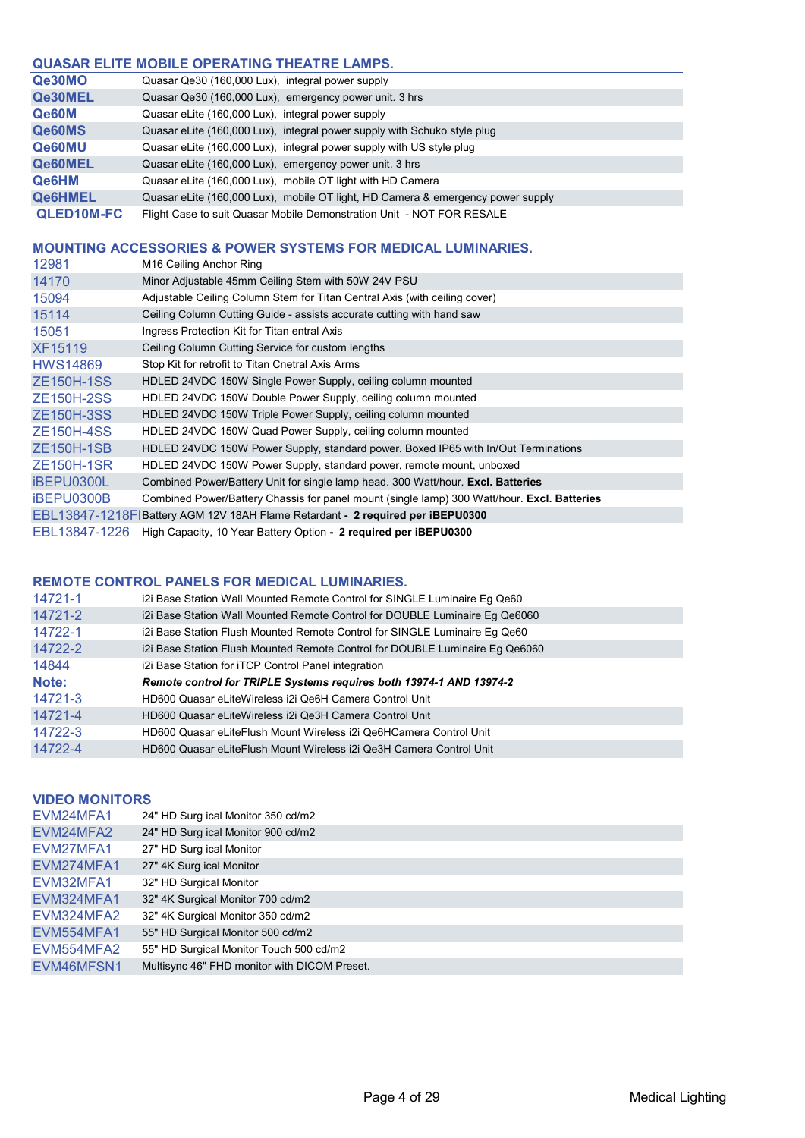## **QUASAR ELITE MOBILE OPERATING THEATRE LAMPS.**

| Qe30MO            | Quasar Qe30 (160,000 Lux), integral power supply                                |
|-------------------|---------------------------------------------------------------------------------|
| <b>Qe30MEL</b>    | Quasar Qe30 (160,000 Lux), emergency power unit. 3 hrs                          |
| Qe60M             | Quasar eLite (160,000 Lux), integral power supply                               |
| <b>Qe60MS</b>     | Quasar eLite (160,000 Lux), integral power supply with Schuko style plug        |
| <b>Qe60MU</b>     | Quasar eLite (160,000 Lux), integral power supply with US style plug            |
| <b>Qe60MEL</b>    | Quasar eLite (160,000 Lux), emergency power unit. 3 hrs                         |
| <b>Qe6HM</b>      | Quasar eLite (160,000 Lux), mobile OT light with HD Camera                      |
| <b>Qe6HMEL</b>    | Quasar eLite (160,000 Lux), mobile OT light, HD Camera & emergency power supply |
| <b>QLED10M-FC</b> | Flight Case to suit Quasar Mobile Demonstration Unit - NOT FOR RESALE           |

#### **MOUNTING ACCESSORIES & POWER SYSTEMS FOR MEDICAL LUMINARIES.**

| 12981             | M <sub>16</sub> Ceiling Anchor Ring                                                         |
|-------------------|---------------------------------------------------------------------------------------------|
| 14170             | Minor Adjustable 45mm Ceiling Stem with 50W 24V PSU                                         |
| 15094             | Adjustable Ceiling Column Stem for Titan Central Axis (with ceiling cover)                  |
| 15114             | Ceiling Column Cutting Guide - assists accurate cutting with hand saw                       |
| 15051             | Ingress Protection Kit for Titan entral Axis                                                |
| <b>XF15119</b>    | Ceiling Column Cutting Service for custom lengths                                           |
| <b>HWS14869</b>   | Stop Kit for retrofit to Titan Cnetral Axis Arms                                            |
| <b>ZE150H-1SS</b> | HDLED 24VDC 150W Single Power Supply, ceiling column mounted                                |
| <b>ZE150H-2SS</b> | HDLED 24VDC 150W Double Power Supply, ceiling column mounted                                |
| <b>ZE150H-3SS</b> | HDLED 24VDC 150W Triple Power Supply, ceiling column mounted                                |
| <b>ZE150H-4SS</b> | HDLED 24VDC 150W Quad Power Supply, ceiling column mounted                                  |
| <b>ZE150H-1SB</b> | HDLED 24VDC 150W Power Supply, standard power. Boxed IP65 with In/Out Terminations          |
| <b>ZE150H-1SR</b> | HDLED 24VDC 150W Power Supply, standard power, remote mount, unboxed                        |
| iBEPU0300L        | Combined Power/Battery Unit for single lamp head. 300 Watt/hour. Excl. Batteries            |
| iBEPU0300B        | Combined Power/Battery Chassis for panel mount (single lamp) 300 Watt/hour. Excl. Batteries |
| EBL13847-1218FI   | Battery AGM 12V 18AH Flame Retardant - 2 required per iBEPU0300                             |
| EBL13847-1226     | High Capacity, 10 Year Battery Option - 2 required per iBEPU0300                            |

#### **REMOTE CONTROL PANELS FOR MEDICAL LUMINARIES.**

| 14721-1 | i2i Base Station Wall Mounted Remote Control for SINGLE Luminaire Eg Qe60    |
|---------|------------------------------------------------------------------------------|
| 14721-2 | i2i Base Station Wall Mounted Remote Control for DOUBLE Luminaire Eg Qe6060  |
| 14722-1 | i2i Base Station Flush Mounted Remote Control for SINGLE Luminaire Eg Qe60   |
| 14722-2 | i2i Base Station Flush Mounted Remote Control for DOUBLE Luminaire Eg Qe6060 |
| 14844   | i2i Base Station for iTCP Control Panel integration                          |
|         |                                                                              |
| Note:   | Remote control for TRIPLE Systems requires both 13974-1 AND 13974-2          |
| 14721-3 | HD600 Quasar eLiteWireless i2i Qe6H Camera Control Unit                      |
| 14721-4 | HD600 Quasar eLiteWireless i2i Qe3H Camera Control Unit                      |
| 14722-3 | HD600 Quasar eLiteFlush Mount Wireless i2i Qe6HCamera Control Unit           |

#### **VIDEO MONITORS**

| EVM24MFA1  | 24" HD Surg ical Monitor 350 cd/m2           |
|------------|----------------------------------------------|
| EVM24MFA2  | 24" HD Surg ical Monitor 900 cd/m2           |
| EVM27MFA1  | 27" HD Surg ical Monitor                     |
| EVM274MFA1 | 27" 4K Surg ical Monitor                     |
| EVM32MFA1  | 32" HD Surgical Monitor                      |
| EVM324MFA1 | 32" 4K Surgical Monitor 700 cd/m2            |
| EVM324MFA2 | 32" 4K Surgical Monitor 350 cd/m2            |
| EVM554MFA1 | 55" HD Surgical Monitor 500 cd/m2            |
| EVM554MFA2 | 55" HD Surgical Monitor Touch 500 cd/m2      |
| EVM46MFSN1 | Multisync 46" FHD monitor with DICOM Preset. |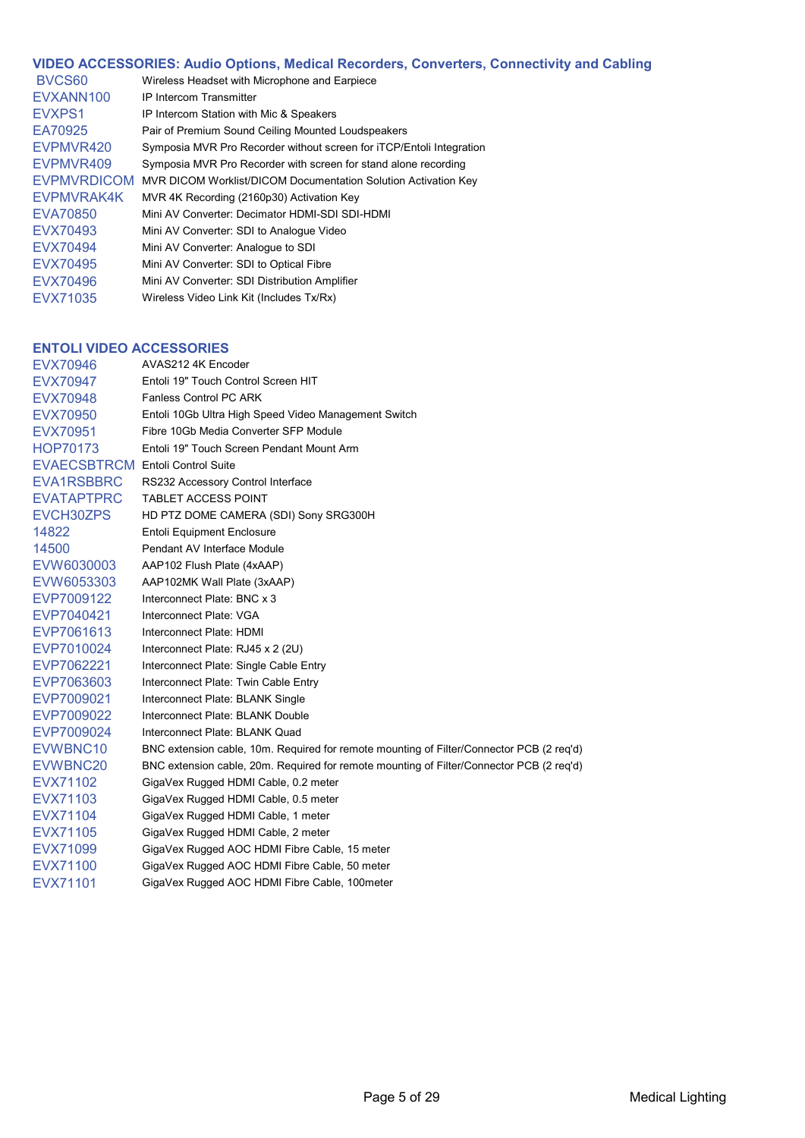| VIDEO ACCESSORIES: Audio Options, Medical Recorders, Converters, Connectivity and Cabling |                                                                      |  |
|-------------------------------------------------------------------------------------------|----------------------------------------------------------------------|--|
| BVCS <sub>60</sub>                                                                        | Wireless Headset with Microphone and Earpiece                        |  |
| EVXANN100                                                                                 | <b>IP Intercom Transmitter</b>                                       |  |
| EVXPS1                                                                                    | IP Intercom Station with Mic & Speakers                              |  |
| EA70925                                                                                   | Pair of Premium Sound Ceiling Mounted Loudspeakers                   |  |
| EVPMVR420                                                                                 | Symposia MVR Pro Recorder without screen for iTCP/Entoli Integration |  |
| EVPMVR409                                                                                 | Symposia MVR Pro Recorder with screen for stand alone recording      |  |
| <b>EVPMVRDICOM</b>                                                                        | MVR DICOM Worklist/DICOM Documentation Solution Activation Key       |  |
| EVPMVRAK4K                                                                                | MVR 4K Recording (2160p30) Activation Key                            |  |
| EVA70850                                                                                  | Mini AV Converter: Decimator HDMI-SDI SDI-HDMI                       |  |
| EVX70493                                                                                  | Mini AV Converter: SDI to Analogue Video                             |  |
| EVX70494                                                                                  | Mini AV Converter: Analogue to SDI                                   |  |
| EVX70495                                                                                  | Mini AV Converter: SDI to Optical Fibre                              |  |
| EVX70496                                                                                  | Mini AV Converter: SDI Distribution Amplifier                        |  |
| EVX71035                                                                                  | Wireless Video Link Kit (Includes Tx/Rx)                             |  |

## **ENTOLI VIDEO ACCESSORIES**

| EVX70946                                | AVAS212 4K Encoder                                                                       |
|-----------------------------------------|------------------------------------------------------------------------------------------|
| EVX70947                                | Entoli 19" Touch Control Screen HIT                                                      |
| EVX70948                                | <b>Fanless Control PC ARK</b>                                                            |
| EVX70950                                | Entoli 10Gb Ultra High Speed Video Management Switch                                     |
| EVX70951                                | Fibre 10Gb Media Converter SFP Module                                                    |
| HOP70173                                | Entoli 19" Touch Screen Pendant Mount Arm                                                |
| <b>EVAECSBTRCM Entoli Control Suite</b> |                                                                                          |
| EVA1RSBBRC                              | RS232 Accessory Control Interface                                                        |
| <b>EVATAPTPRC</b>                       | <b>TABLET ACCESS POINT</b>                                                               |
| EVCH30ZPS                               | HD PTZ DOME CAMERA (SDI) Sony SRG300H                                                    |
| 14822                                   | <b>Entoli Equipment Enclosure</b>                                                        |
| 14500                                   | Pendant AV Interface Module                                                              |
| EVW6030003                              | AAP102 Flush Plate (4xAAP)                                                               |
| EVW6053303                              | AAP102MK Wall Plate (3xAAP)                                                              |
| EVP7009122                              | Interconnect Plate: BNC x 3                                                              |
| EVP7040421                              | Interconnect Plate: VGA                                                                  |
| EVP7061613                              | Interconnect Plate: HDMI                                                                 |
| EVP7010024                              | Interconnect Plate: RJ45 x 2 (2U)                                                        |
| EVP7062221                              | Interconnect Plate: Single Cable Entry                                                   |
| EVP7063603                              | Interconnect Plate: Twin Cable Entry                                                     |
| EVP7009021                              | Interconnect Plate: BLANK Single                                                         |
| EVP7009022                              | Interconnect Plate: BLANK Double                                                         |
| EVP7009024                              | Interconnect Plate: BLANK Quad                                                           |
| EVWBNC10                                | BNC extension cable, 10m. Required for remote mounting of Filter/Connector PCB (2 req'd) |
| EVWBNC20                                | BNC extension cable, 20m. Required for remote mounting of Filter/Connector PCB (2 req'd) |
| EVX71102                                | GigaVex Rugged HDMI Cable, 0.2 meter                                                     |
| EVX71103                                | GigaVex Rugged HDMI Cable, 0.5 meter                                                     |
| EVX71104                                | GigaVex Rugged HDMI Cable, 1 meter                                                       |
| EVX71105                                | GigaVex Rugged HDMI Cable, 2 meter                                                       |
| EVX71099                                | GigaVex Rugged AOC HDMI Fibre Cable, 15 meter                                            |
| EVX71100                                | GigaVex Rugged AOC HDMI Fibre Cable, 50 meter                                            |
| EVX71101                                | GigaVex Rugged AOC HDMI Fibre Cable, 100meter                                            |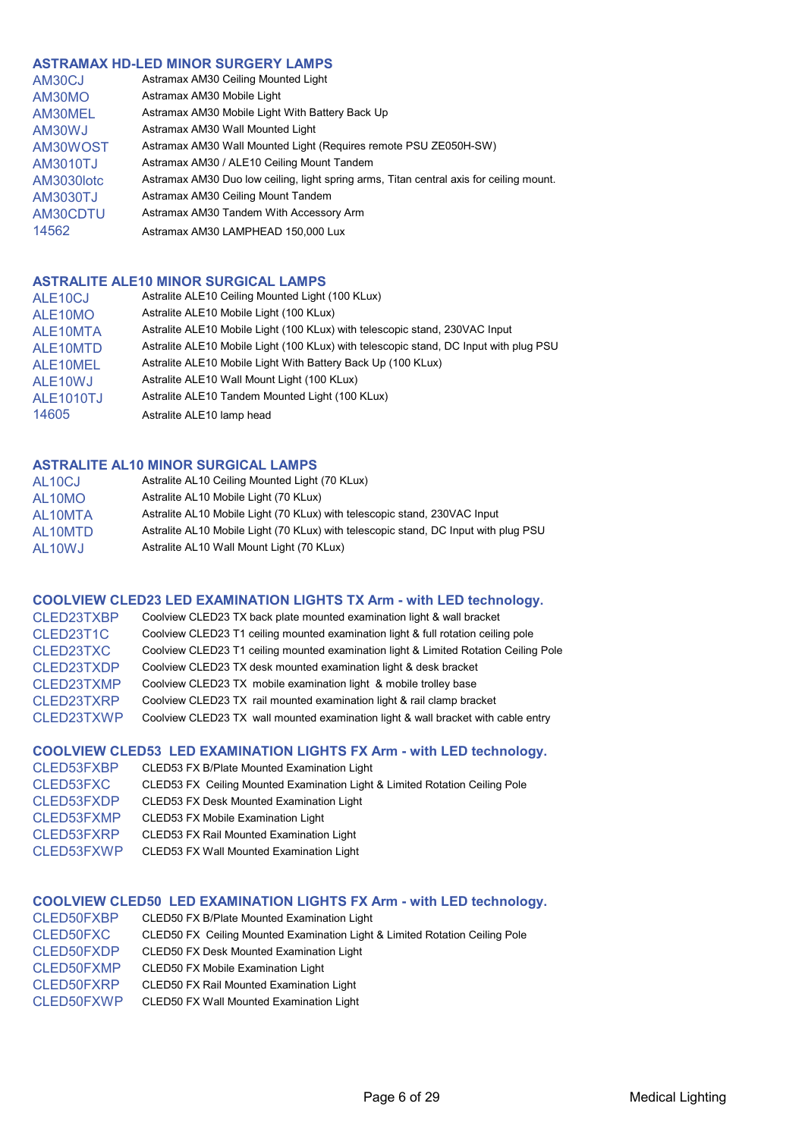#### **ASTRAMAX HD-LED MINOR SURGERY LAMPS**

| AM30CJ     | Astramax AM30 Ceiling Mounted Light                                                     |
|------------|-----------------------------------------------------------------------------------------|
| AM30MO     | Astramax AM30 Mobile Light                                                              |
| AM30MEL    | Astramax AM30 Mobile Light With Battery Back Up                                         |
| AM30WJ     | Astramax AM30 Wall Mounted Light                                                        |
| AM30WOST   | Astramax AM30 Wall Mounted Light (Requires remote PSU ZE050H-SW)                        |
| AM3010TJ   | Astramax AM30 / ALE10 Ceiling Mount Tandem                                              |
| AM3030lotc | Astramax AM30 Duo low ceiling, light spring arms, Titan central axis for ceiling mount. |
| AM3030TJ   | Astramax AM30 Ceiling Mount Tandem                                                      |
| AM30CDTU   | Astramax AM30 Tandem With Accessory Arm                                                 |
| 14562      | Astramax AM30 LAMPHEAD 150,000 Lux                                                      |

## **ASTRALITE ALE10 MINOR SURGICAL LAMPS**

| ALE <sub>10</sub> CJ  | Astralite ALE10 Ceiling Mounted Light (100 KLux)                                      |
|-----------------------|---------------------------------------------------------------------------------------|
| ALE <sub>10</sub> MO  | Astralite ALE10 Mobile Light (100 KLux)                                               |
| ALE10MTA              | Astralite ALE10 Mobile Light (100 KLux) with telescopic stand, 230VAC Input           |
| ALE <sub>10</sub> MTD | Astralite ALE10 Mobile Light (100 KLux) with telescopic stand, DC Input with plug PSU |
| ALE10MEL              | Astralite ALE10 Mobile Light With Battery Back Up (100 KLux)                          |
| ALE <sub>10</sub> WJ  | Astralite ALE10 Wall Mount Light (100 KLux)                                           |
| <b>ALE1010TJ</b>      | Astralite ALE10 Tandem Mounted Light (100 KLux)                                       |
| 14605                 | Astralite ALE10 lamp head                                                             |

## **ASTRALITE AL10 MINOR SURGICAL LAMPS**

| AL10CJ  | Astralite AL10 Ceiling Mounted Light (70 KLux)                                      |
|---------|-------------------------------------------------------------------------------------|
| AL10MO  | Astralite AL10 Mobile Light (70 KLux)                                               |
| AL10MTA | Astralite AL10 Mobile Light (70 KLux) with telescopic stand, 230VAC Input           |
| AL10MTD | Astralite AL10 Mobile Light (70 KLux) with telescopic stand, DC Input with plug PSU |
| AL10WJ  | Astralite AL10 Wall Mount Light (70 KLux)                                           |

## **COOLVIEW CLED23 LED EXAMINATION LIGHTS TX Arm - with LED technology.**

| CLED23TXBP | Coolview CLED23 TX back plate mounted examination light & wall bracket               |
|------------|--------------------------------------------------------------------------------------|
| CLED23T1C  | Coolview CLED23 T1 ceiling mounted examination light & full rotation ceiling pole    |
| CLED23TXC  | Coolview CLED23 T1 ceiling mounted examination light & Limited Rotation Ceiling Pole |
| CLED23TXDP | Coolview CLED23 TX desk mounted examination light & desk bracket                     |
| CLED23TXMP | Coolview CLED23 TX mobile examination light & mobile trolley base                    |
| CLED23TXRP | Coolview CLED23 TX rail mounted examination light & rail clamp bracket               |
| CLED23TXWP | Coolview CLED23 TX wall mounted examination light & wall bracket with cable entry    |

#### **COOLVIEW CLED53 LED EXAMINATION LIGHTS FX Arm - with LED technology.**

| CLED53FXBP | CLED53 FX B/Plate Mounted Examination Light                                 |
|------------|-----------------------------------------------------------------------------|
| CLED53FXC  | CLED53 FX Ceiling Mounted Examination Light & Limited Rotation Ceiling Pole |
| CLED53FXDP | <b>CLED53 FX Desk Mounted Examination Light</b>                             |
| CLED53FXMP | <b>CLED53 FX Mobile Examination Light</b>                                   |
| CLED53FXRP | <b>CLED53 FX Rail Mounted Examination Light</b>                             |
| CLED53FXWP | CLED53 FX Wall Mounted Examination Light                                    |

## **COOLVIEW CLED50 LED EXAMINATION LIGHTS FX Arm - with LED technology.**

| CLED50FXBP | CLED50 FX B/Plate Mounted Examination Light                                 |
|------------|-----------------------------------------------------------------------------|
| CLED50FXC  | CLED50 FX Ceiling Mounted Examination Light & Limited Rotation Ceiling Pole |
| CLED50FXDP | <b>CLED50 FX Desk Mounted Examination Light</b>                             |
| CLED50FXMP | CLED50 FX Mobile Examination Light                                          |
| CLED50FXRP | <b>CLED50 FX Rail Mounted Examination Light</b>                             |
| CLED50FXWP | <b>CLED50 FX Wall Mounted Examination Light</b>                             |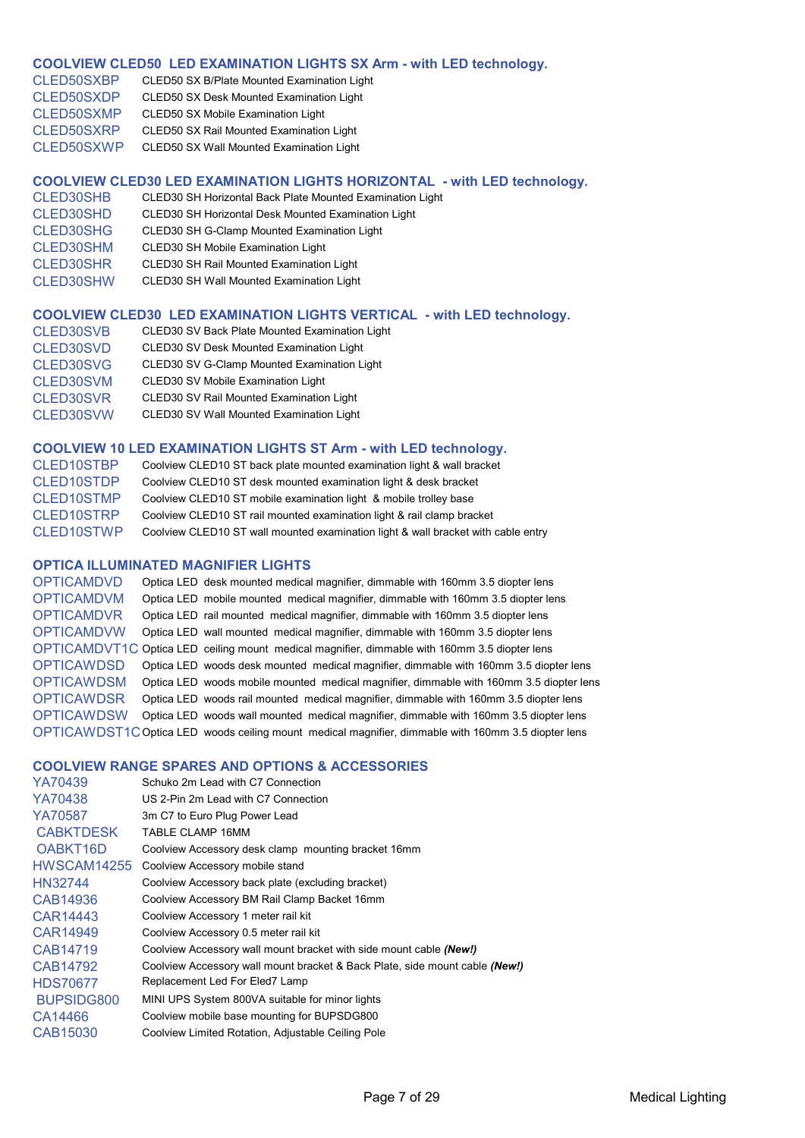#### **COOLVIEW CLED50 LED EXAMINATION LIGHTS SX Arm - with LED technology.**

| CLED50SXBP | CLED50 SX B/Plate Mounted Examination Light     |
|------------|-------------------------------------------------|
| CLED50SXDP | CLED50 SX Desk Mounted Examination Light        |
| CLED50SXMP | CLED50 SX Mobile Examination Light              |
| CLED50SXRP | <b>CLED50 SX Rail Mounted Examination Light</b> |
| CLED50SXWP | CLED50 SX Wall Mounted Examination Light        |

#### **COOLVIEW CLED30 LED EXAMINATION LIGHTS HORIZONTAL - with LED technology.**

- CLED30SHB CLED30 SH Horizontal Back Plate Mounted Examination Light
- CLED30SHD CLED30 SH Horizontal Desk Mounted Examination Light
- CLED30SHG CLED30 SH G-Clamp Mounted Examination Light
- CLED30SHM CLED30 SH Mobile Examination Light
- CLED30SHR CLED30 SH Rail Mounted Examination Light
- CLED30SHW CLED30 SH Wall Mounted Examination Light

#### **COOLVIEW CLED30 LED EXAMINATION LIGHTS VERTICAL - with LED technology.**

- CLED30SVB CLED30 SV Back Plate Mounted Examination Light
- CLED30SVD CLED30 SV Desk Mounted Examination Light
- CLED30SVG CLED30 SV G-Clamp Mounted Examination Light
- CLED30SVM CLED30 SV Mobile Examination Light
- CLED30SVR CLED30 SV Rail Mounted Examination Light
- CLED30SVW CLED30 SV Wall Mounted Examination Light

#### **COOLVIEW 10 LED EXAMINATION LIGHTS ST Arm - with LED technology.**

| <b>CLED10STBP</b> | Coolview CLED10 ST back plate mounted examination light & wall bracket            |
|-------------------|-----------------------------------------------------------------------------------|
| CLED10STDP        | Coolview CLED10 ST desk mounted examination light & desk bracket                  |
| CLED10STMP        | Coolview CLED10 ST mobile examination light & mobile trolley base                 |
| CLED10STRP        | Coolview CLED10 ST rail mounted examination light & rail clamp bracket            |
| CLED10STWP        | Coolview CLED10 ST wall mounted examination light & wall bracket with cable entry |

#### **OPTICA ILLUMINATED MAGNIFIER LIGHTS**

OPTICAMDVD Optica LED desk mounted medical magnifier, dimmable with 160mm 3.5 diopter lens Optica LED mobile mounted medical magnifier, dimmable with 160mm 3.5 diopter lens OPTICAMDVR Optica LED rail mounted medical magnifier, dimmable with 160mm 3.5 diopter lens OPTICAMDVW Optica LED wall mounted medical magnifier, dimmable with 160mm 3.5 diopter lens OPTICAMDVT1C Optica LED ceiling mount medical magnifier, dimmable with 160mm 3.5 diopter lens OPTICAWDSD Optica LED woods desk mounted medical magnifier, dimmable with 160mm 3.5 diopter lens OPTICAWDSM Optica LED woods mobile mounted medical magnifier, dimmable with 160mm 3.5 diopter lens OPTICAWDSR Optica LED woods rail mounted medical magnifier, dimmable with 160mm 3.5 diopter lens OPTICAWDSW Optica LED woods wall mounted medical magnifier, dimmable with 160mm 3.5 diopter lens OPTICAWDST1COptica LED woods ceiling mount medical magnifier, dimmable with 160mm 3.5 diopter lens

#### **COOLVIEW RANGE SPARES AND OPTIONS & ACCESSORIES**

| YA70439               | Schuko 2m Lead with C7 Connection                                           |
|-----------------------|-----------------------------------------------------------------------------|
| YA70438               | US 2-Pin 2m Lead with C7 Connection                                         |
| YA70587               | 3m C7 to Euro Plug Power Lead                                               |
| <b>CABKTDESK</b>      | TABLE CLAMP 16MM                                                            |
| OABKT <sub>16</sub> D | Coolview Accessory desk clamp mounting bracket 16mm                         |
| HWSCAM14255           | Coolview Accessory mobile stand                                             |
| HN32744               | Coolview Accessory back plate (excluding bracket)                           |
| CAB14936              | Coolview Accessory BM Rail Clamp Backet 16mm                                |
| CAR14443              | Coolview Accessory 1 meter rail kit                                         |
| CAR14949              | Coolview Accessory 0.5 meter rail kit                                       |
| CAB14719              | Coolview Accessory wall mount bracket with side mount cable (New!)          |
| CAB14792              | Coolview Accessory wall mount bracket & Back Plate, side mount cable (New!) |
| <b>HDS70677</b>       | Replacement Led For Eled7 Lamp                                              |
| BUPSIDG800            | MINI UPS System 800VA suitable for minor lights                             |
| CA14466               | Coolview mobile base mounting for BUPSDG800                                 |
| CAB15030              | Coolview Limited Rotation, Adjustable Ceiling Pole                          |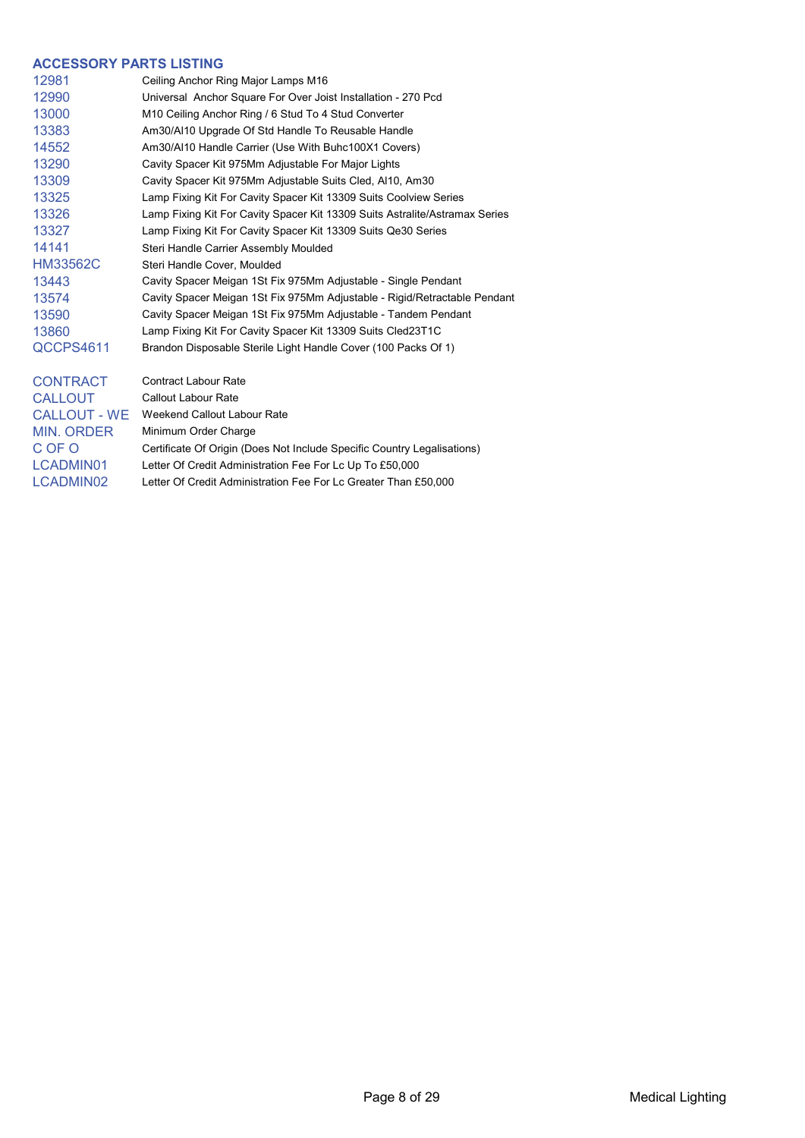#### **ACCESSORY PARTS LISTING**

| 12981           | Ceiling Anchor Ring Major Lamps M16                                         |
|-----------------|-----------------------------------------------------------------------------|
| 12990           | Universal Anchor Square For Over Joist Installation - 270 Pcd               |
| 13000           | M10 Ceiling Anchor Ring / 6 Stud To 4 Stud Converter                        |
| 13383           | Am30/AI10 Upgrade Of Std Handle To Reusable Handle                          |
| 14552           | Am30/AI10 Handle Carrier (Use With Buhc100X1 Covers)                        |
| 13290           | Cavity Spacer Kit 975Mm Adjustable For Major Lights                         |
| 13309           | Cavity Spacer Kit 975Mm Adjustable Suits Cled, Al10, Am30                   |
| 13325           | Lamp Fixing Kit For Cavity Spacer Kit 13309 Suits Coolview Series           |
| 13326           | Lamp Fixing Kit For Cavity Spacer Kit 13309 Suits Astralite/Astramax Series |
| 13327           | Lamp Fixing Kit For Cavity Spacer Kit 13309 Suits Qe30 Series               |
| 14141           | Steri Handle Carrier Assembly Moulded                                       |
| <b>HM33562C</b> | Steri Handle Cover, Moulded                                                 |
| 13443           | Cavity Spacer Meigan 1St Fix 975Mm Adjustable - Single Pendant              |
| 13574           | Cavity Spacer Meigan 1St Fix 975Mm Adjustable - Rigid/Retractable Pendant   |
| 13590           | Cavity Spacer Meigan 1St Fix 975Mm Adjustable - Tandem Pendant              |
| 13860           | Lamp Fixing Kit For Cavity Spacer Kit 13309 Suits Cled23T1C                 |
| QCCPS4611       | Brandon Disposable Sterile Light Handle Cover (100 Packs Of 1)              |
| <b>CONTRACT</b> | <b>Contract Labour Rate</b>                                                 |
| <b>CALLOUT</b>  | <b>Callout Labour Rate</b>                                                  |
|                 |                                                                             |

CALLOUT - WE Weekend Callout Labour Rate MIN. ORDER Minimum Order Charge C OF O Certificate Of Origin (Does Not Include Specific Country Legalisations) LCADMIN01 Letter Of Credit Administration Fee For Lc Up To £50,000 LCADMIN02 Letter Of Credit Administration Fee For Lc Greater Than £50,000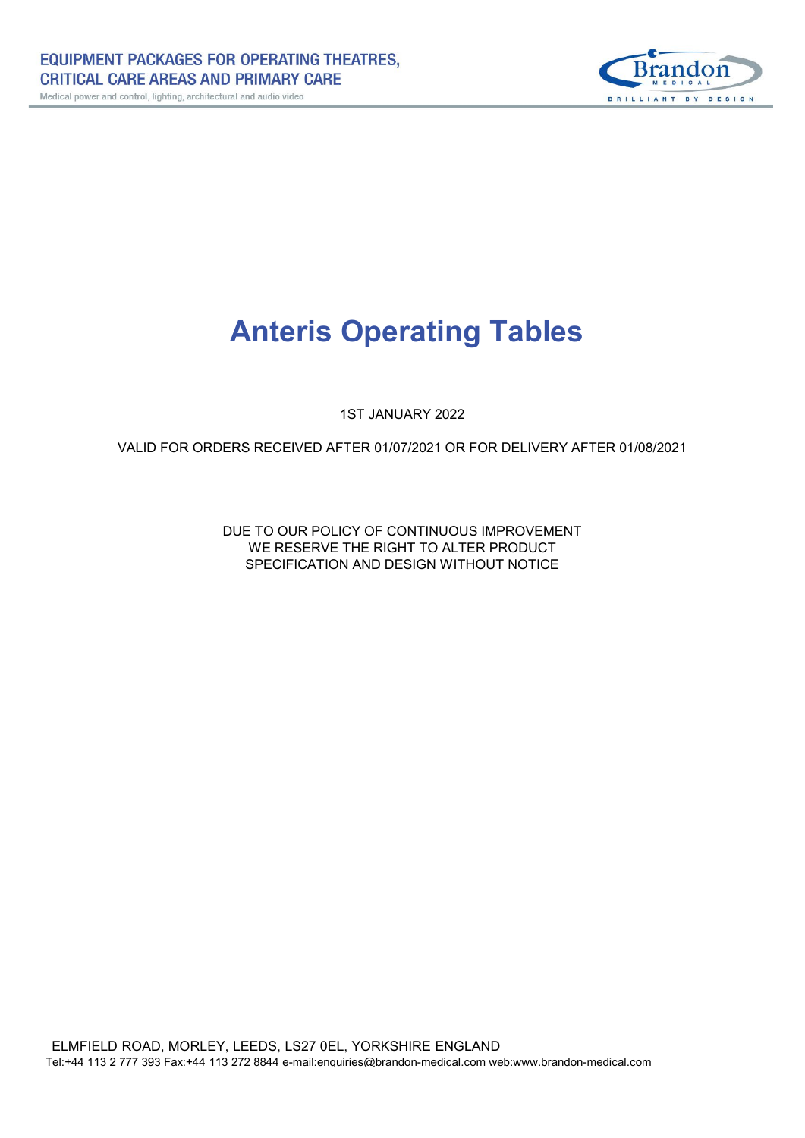

# **Anteris Operating Tables**

1ST JANUARY 2022

VALID FOR ORDERS RECEIVED AFTER 01/07/2021 OR FOR DELIVERY AFTER 01/08/2021

SPECIFICATION AND DESIGN WITHOUT NOTICE WE RESERVE THE RIGHT TO ALTER PRODUCT DUE TO OUR POLICY OF CONTINUOUS IMPROVEMENT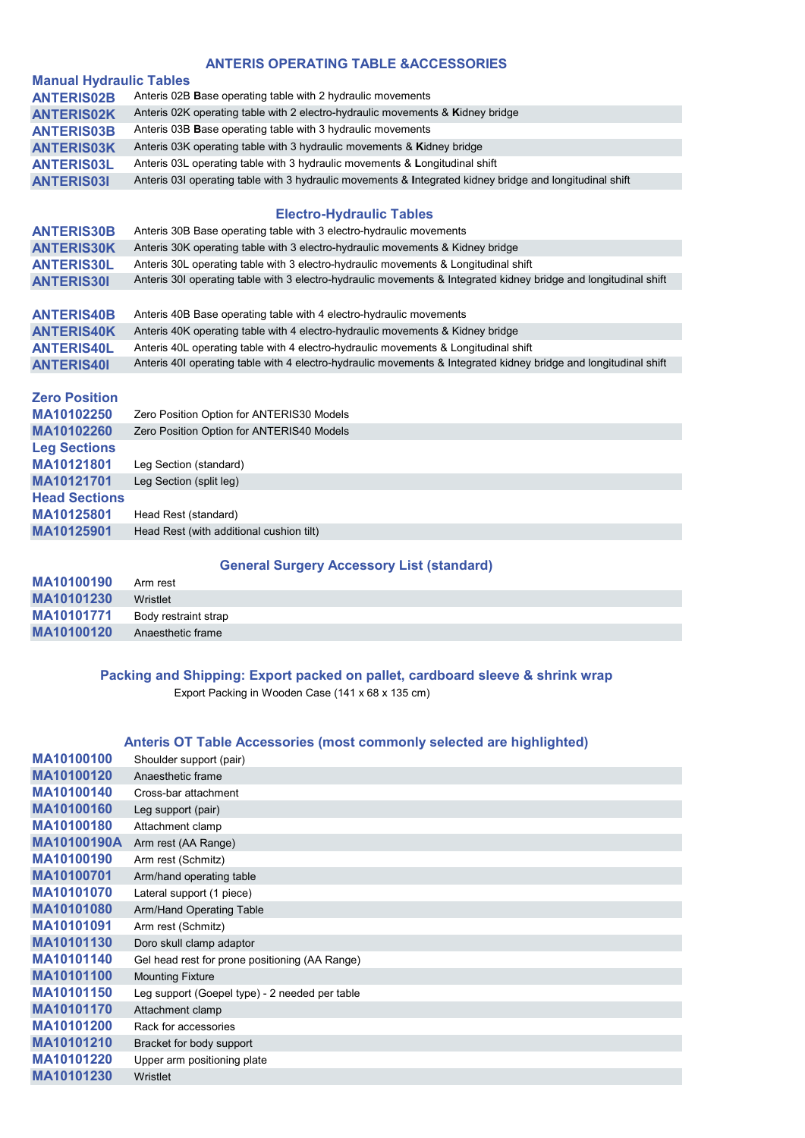## **ANTERIS OPERATING TABLE &ACCESSORIES**

| <b>Manual Hydraulic Tables</b> |                                                                                                                  |
|--------------------------------|------------------------------------------------------------------------------------------------------------------|
| <b>ANTERIS02B</b>              | Anteris 02B Base operating table with 2 hydraulic movements                                                      |
| <b>ANTERIS02K</b>              | Anteris 02K operating table with 2 electro-hydraulic movements & Kidney bridge                                   |
| <b>ANTERIS03B</b>              | Anteris 03B Base operating table with 3 hydraulic movements                                                      |
| <b>ANTERIS03K</b>              | Anteris 03K operating table with 3 hydraulic movements & Kidney bridge                                           |
| <b>ANTERIS03L</b>              | Anteris 03L operating table with 3 hydraulic movements & Longitudinal shift                                      |
| <b>ANTERIS031</b>              | Anteris 03I operating table with 3 hydraulic movements & Integrated kidney bridge and longitudinal shift         |
|                                |                                                                                                                  |
|                                | <b>Electro-Hydraulic Tables</b>                                                                                  |
| <b>ANTERIS30B</b>              | Anteris 30B Base operating table with 3 electro-hydraulic movements                                              |
| <b>ANTERIS30K</b>              | Anteris 30K operating table with 3 electro-hydraulic movements & Kidney bridge                                   |
| <b>ANTERIS30L</b>              | Anteris 30L operating table with 3 electro-hydraulic movements & Longitudinal shift                              |
| <b>ANTERIS301</b>              | Anteris 30I operating table with 3 electro-hydraulic movements & Integrated kidney bridge and longitudinal shift |
|                                |                                                                                                                  |
| <b>ANTERIS40B</b>              | Anteris 40B Base operating table with 4 electro-hydraulic movements                                              |
| <b>ANTERIS40K</b>              | Anteris 40K operating table with 4 electro-hydraulic movements & Kidney bridge                                   |
| <b>ANTERIS40L</b>              | Anteris 40L operating table with 4 electro-hydraulic movements & Longitudinal shift                              |
| <b>ANTERIS401</b>              | Anteris 40I operating table with 4 electro-hydraulic movements & Integrated kidney bridge and longitudinal shift |
|                                |                                                                                                                  |
| <b>Zero Position</b>           |                                                                                                                  |
| MA10102250                     | Zero Position Option for ANTERIS30 Models                                                                        |
| MA10102260                     | Zero Position Option for ANTERIS40 Models                                                                        |
| <b>Leg Sections</b>            |                                                                                                                  |
| MA10121801                     | Leg Section (standard)                                                                                           |
| MA10121701                     | Leg Section (split leg)                                                                                          |
| <b>Head Sections</b>           |                                                                                                                  |
| <b>MA10125801</b>              | Head Rest (standard)                                                                                             |

**MA10125801** Head Rest (standard) Head Rest (with additional cushion tilt)

## **General Surgery Accessory List (standard)**

| MA10100190 | Arm rest             |
|------------|----------------------|
| MA10101230 | Wristlet             |
| MA10101771 | Body restraint strap |
| MA10100120 | Anaesthetic frame    |

## **Packing and Shipping: Export packed on pallet, cardboard sleeve & shrink wrap**

Export Packing in Wooden Case (141 x 68 x 135 cm)

## **Anteris OT Table Accessories (most commonly selected are highlighted)**

| MA10100100         | Shoulder support (pair)                        |
|--------------------|------------------------------------------------|
| MA10100120         | Anaesthetic frame                              |
| MA10100140         | Cross-bar attachment                           |
| MA10100160         | Leg support (pair)                             |
| MA10100180         | Attachment clamp                               |
| <b>MA10100190A</b> | Arm rest (AA Range)                            |
| MA10100190         | Arm rest (Schmitz)                             |
| MA10100701         | Arm/hand operating table                       |
| MA10101070         | Lateral support (1 piece)                      |
| MA10101080         | Arm/Hand Operating Table                       |
| MA10101091         | Arm rest (Schmitz)                             |
| MA10101130         | Doro skull clamp adaptor                       |
| MA10101140         | Gel head rest for prone positioning (AA Range) |
| MA10101100         | <b>Mounting Fixture</b>                        |
| MA10101150         | Leg support (Goepel type) - 2 needed per table |
| MA10101170         | Attachment clamp                               |
| MA10101200         | Rack for accessories                           |
| MA10101210         | Bracket for body support                       |
| MA10101220         | Upper arm positioning plate                    |
| MA10101230         | Wristlet                                       |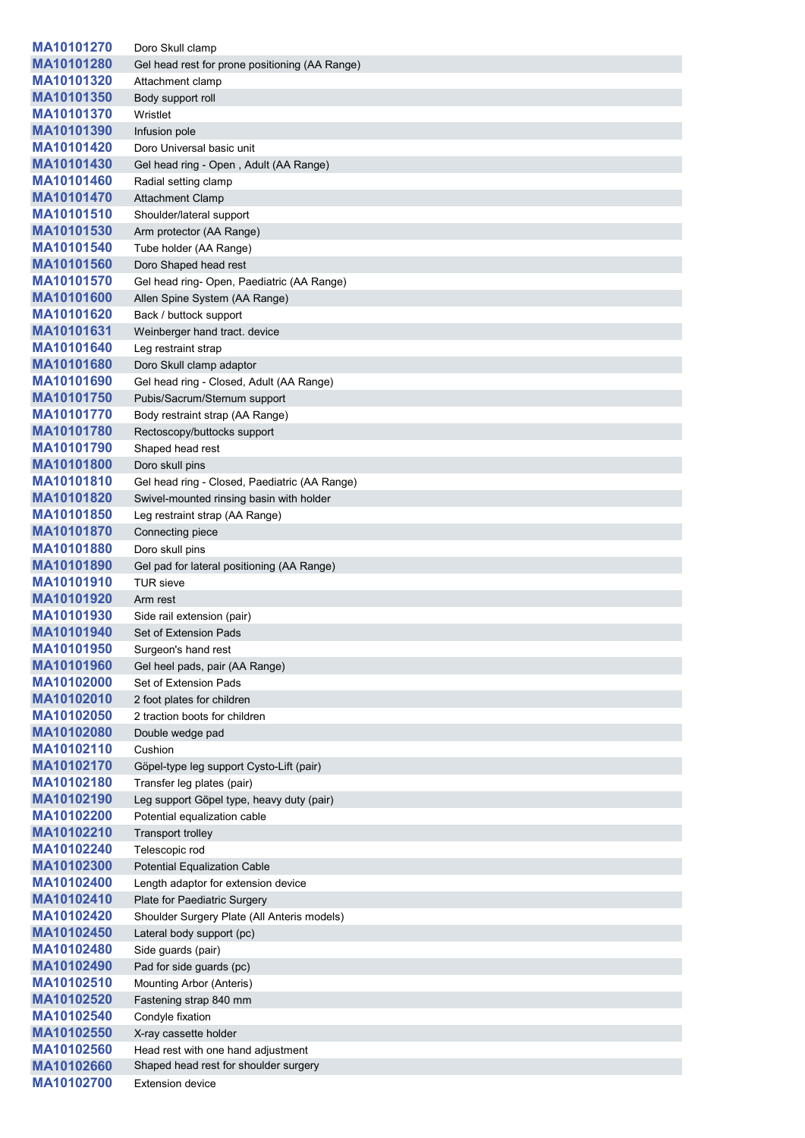| MA10101270 | Doro Skull clamp                               |
|------------|------------------------------------------------|
| MA10101280 | Gel head rest for prone positioning (AA Range) |
| MA10101320 | Attachment clamp                               |
| MA10101350 | Body support roll                              |
| MA10101370 | Wristlet                                       |
| MA10101390 | Infusion pole                                  |
| MA10101420 | Doro Universal basic unit                      |
| MA10101430 | Gel head ring - Open, Adult (AA Range)         |
| MA10101460 | Radial setting clamp                           |
| MA10101470 | <b>Attachment Clamp</b>                        |
| MA10101510 | Shoulder/lateral support                       |
| MA10101530 | Arm protector (AA Range)                       |
| MA10101540 | Tube holder (AA Range)                         |
| MA10101560 | Doro Shaped head rest                          |
| MA10101570 | Gel head ring- Open, Paediatric (AA Range)     |
| MA10101600 | Allen Spine System (AA Range)                  |
| MA10101620 | Back / buttock support                         |
| MA10101631 | Weinberger hand tract. device                  |
| MA10101640 | Leg restraint strap                            |
| MA10101680 | Doro Skull clamp adaptor                       |
| MA10101690 | Gel head ring - Closed, Adult (AA Range)       |
| MA10101750 | Pubis/Sacrum/Sternum support                   |
| MA10101770 | Body restraint strap (AA Range)                |
| MA10101780 | Rectoscopy/buttocks support                    |
| MA10101790 | Shaped head rest                               |
| MA10101800 | Doro skull pins                                |
| MA10101810 | Gel head ring - Closed, Paediatric (AA Range)  |
| MA10101820 | Swivel-mounted rinsing basin with holder       |
| MA10101850 | Leg restraint strap (AA Range)                 |
| MA10101870 | Connecting piece                               |
| MA10101880 | Doro skull pins                                |
| MA10101890 | Gel pad for lateral positioning (AA Range)     |
| MA10101910 | <b>TUR</b> sieve                               |
| MA10101920 | Arm rest                                       |
| MA10101930 | Side rail extension (pair)                     |
| MA10101940 | Set of Extension Pads                          |
| MA10101950 | Surgeon's hand rest                            |
| MA10101960 | Gel heel pads, pair (AA Range)                 |
| MA10102000 | Set of Extension Pads                          |
| MA10102010 | 2 foot plates for children                     |
| MA10102050 | 2 traction boots for children                  |
| MA10102080 | Double wedge pad                               |
| MA10102110 | Cushion                                        |
| MA10102170 | Göpel-type leg support Cysto-Lift (pair)       |
| MA10102180 | Transfer leg plates (pair)                     |
| MA10102190 | Leg support Göpel type, heavy duty (pair)      |
| MA10102200 | Potential equalization cable                   |
| MA10102210 | Transport trolley                              |
| MA10102240 | Telescopic rod                                 |
| MA10102300 | <b>Potential Equalization Cable</b>            |
| MA10102400 | Length adaptor for extension device            |
| MA10102410 | Plate for Paediatric Surgery                   |
| MA10102420 | Shoulder Surgery Plate (All Anteris models)    |
| MA10102450 | Lateral body support (pc)                      |
| MA10102480 | Side guards (pair)                             |
| MA10102490 | Pad for side guards (pc)                       |
| MA10102510 | Mounting Arbor (Anteris)                       |
| MA10102520 | Fastening strap 840 mm                         |
| MA10102540 | Condyle fixation                               |
| MA10102550 | X-ray cassette holder                          |
| MA10102560 | Head rest with one hand adjustment             |
| MA10102660 | Shaped head rest for shoulder surgery          |
| MA10102700 | <b>Extension device</b>                        |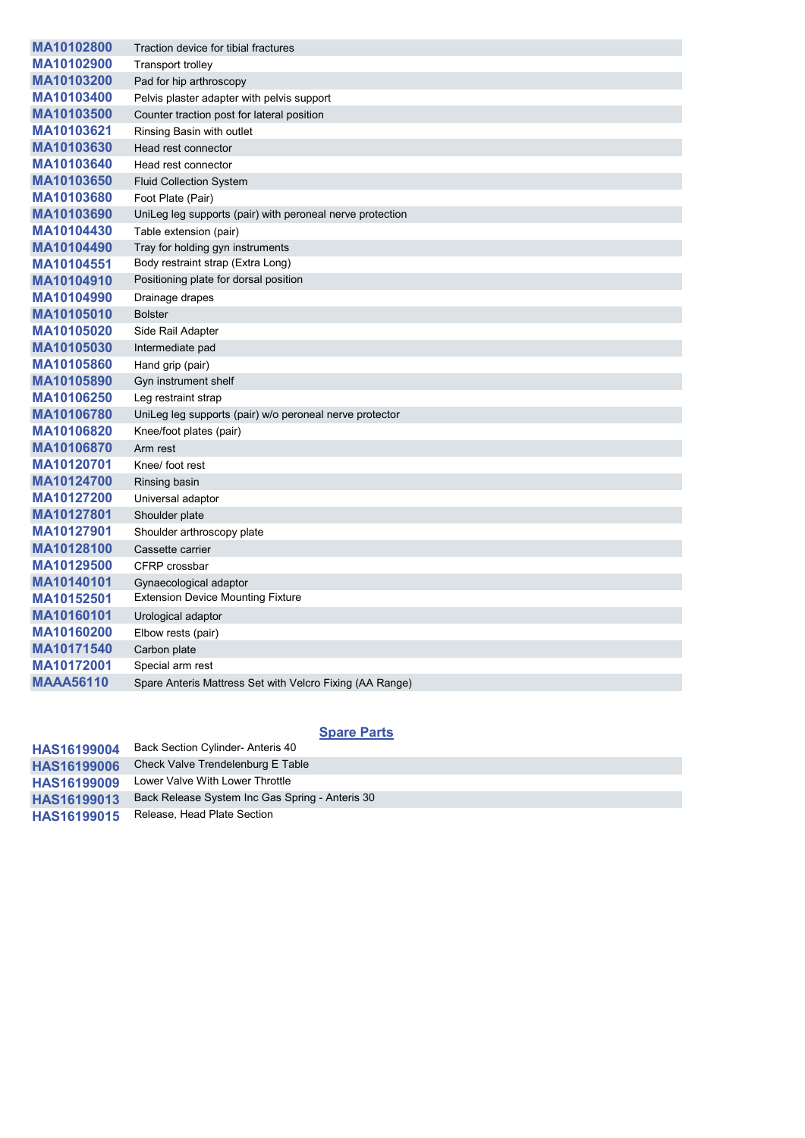| MA10102800       | Traction device for tibial fractures                      |
|------------------|-----------------------------------------------------------|
| MA10102900       | <b>Transport trolley</b>                                  |
| MA10103200       | Pad for hip arthroscopy                                   |
| MA10103400       | Pelvis plaster adapter with pelvis support                |
| MA10103500       | Counter traction post for lateral position                |
| MA10103621       | Rinsing Basin with outlet                                 |
| MA10103630       | Head rest connector                                       |
| MA10103640       | Head rest connector                                       |
| MA10103650       | <b>Fluid Collection System</b>                            |
| MA10103680       | Foot Plate (Pair)                                         |
| MA10103690       | UniLeg leg supports (pair) with peroneal nerve protection |
| MA10104430       | Table extension (pair)                                    |
| MA10104490       | Tray for holding gyn instruments                          |
| MA10104551       | Body restraint strap (Extra Long)                         |
| MA10104910       | Positioning plate for dorsal position                     |
| MA10104990       | Drainage drapes                                           |
| MA10105010       | <b>Bolster</b>                                            |
| MA10105020       | Side Rail Adapter                                         |
| MA10105030       | Intermediate pad                                          |
| MA10105860       | Hand grip (pair)                                          |
| MA10105890       | Gyn instrument shelf                                      |
| MA10106250       | Leg restraint strap                                       |
| MA10106780       | UniLeg leg supports (pair) w/o peroneal nerve protector   |
| MA10106820       | Knee/foot plates (pair)                                   |
| MA10106870       | Arm rest                                                  |
| MA10120701       | Knee/ foot rest                                           |
| MA10124700       | Rinsing basin                                             |
| MA10127200       | Universal adaptor                                         |
| MA10127801       | Shoulder plate                                            |
| MA10127901       | Shoulder arthroscopy plate                                |
| MA10128100       | Cassette carrier                                          |
| MA10129500       | CFRP crossbar                                             |
| MA10140101       | Gynaecological adaptor                                    |
| MA10152501       | <b>Extension Device Mounting Fixture</b>                  |
| MA10160101       | Urological adaptor                                        |
| MA10160200       | Elbow rests (pair)                                        |
| MA10171540       | Carbon plate                                              |
| MA10172001       | Special arm rest                                          |
| <b>MAAA56110</b> | Spare Anteris Mattress Set with Velcro Fixing (AA Range)  |

## **Spare Parts**

| <b>HAS16199004</b> | Back Section Cylinder- Anteris 40               |
|--------------------|-------------------------------------------------|
| <b>HAS16199006</b> | Check Valve Trendelenburg E Table               |
| <b>HAS16199009</b> | Lower Valve With Lower Throttle                 |
| HAS16199013        | Back Release System Inc Gas Spring - Anteris 30 |
| <b>HAS16199015</b> | Release, Head Plate Section                     |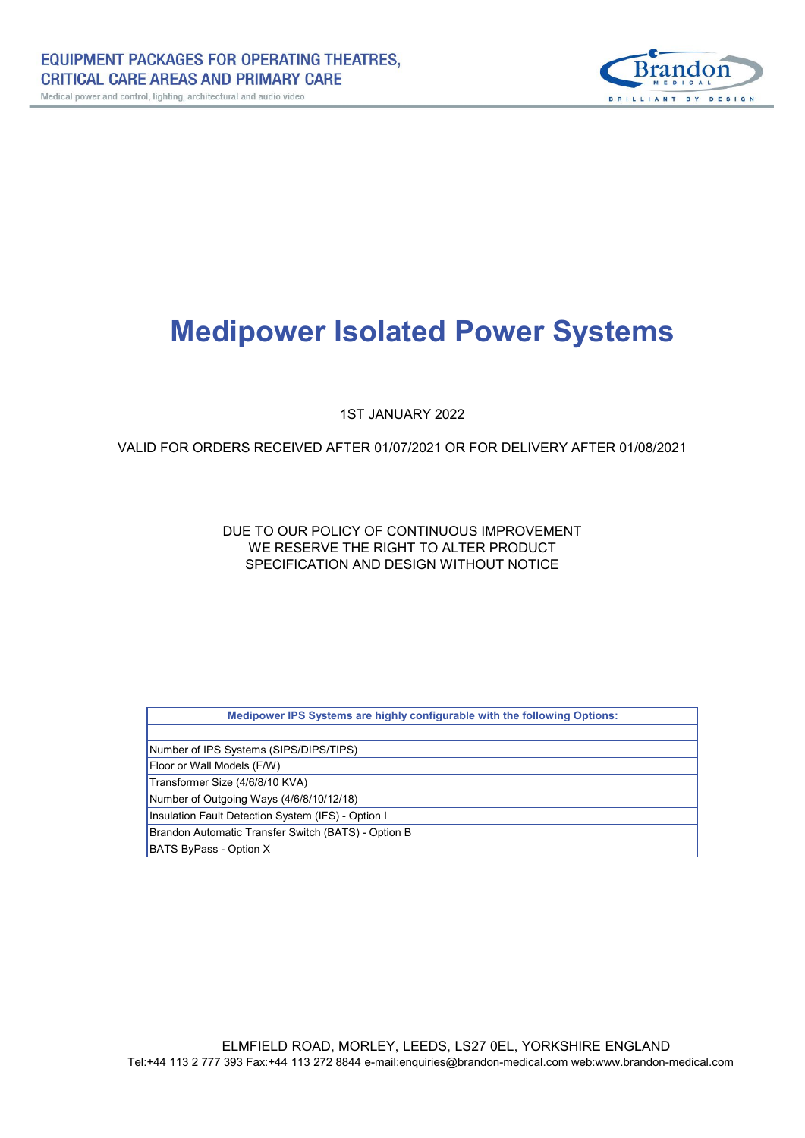

# **Medipower Isolated Power Systems**

1ST JANUARY 2022

## VALID FOR ORDERS RECEIVED AFTER 01/07/2021 OR FOR DELIVERY AFTER 01/08/2021

WE RESERVE THE RIGHT TO ALTER PRODUCT DUE TO OUR POLICY OF CONTINUOUS IMPROVEMENT SPECIFICATION AND DESIGN WITHOUT NOTICE

| Medipower IPS Systems are highly configurable with the following Options: |  |
|---------------------------------------------------------------------------|--|
|                                                                           |  |
| Number of IPS Systems (SIPS/DIPS/TIPS)                                    |  |
| Floor or Wall Models (F/W)                                                |  |
| Transformer Size (4/6/8/10 KVA)                                           |  |
| Number of Outgoing Ways (4/6/8/10/12/18)                                  |  |
| Insulation Fault Detection System (IFS) - Option I                        |  |
| Brandon Automatic Transfer Switch (BATS) - Option B                       |  |
| BATS ByPass - Option X                                                    |  |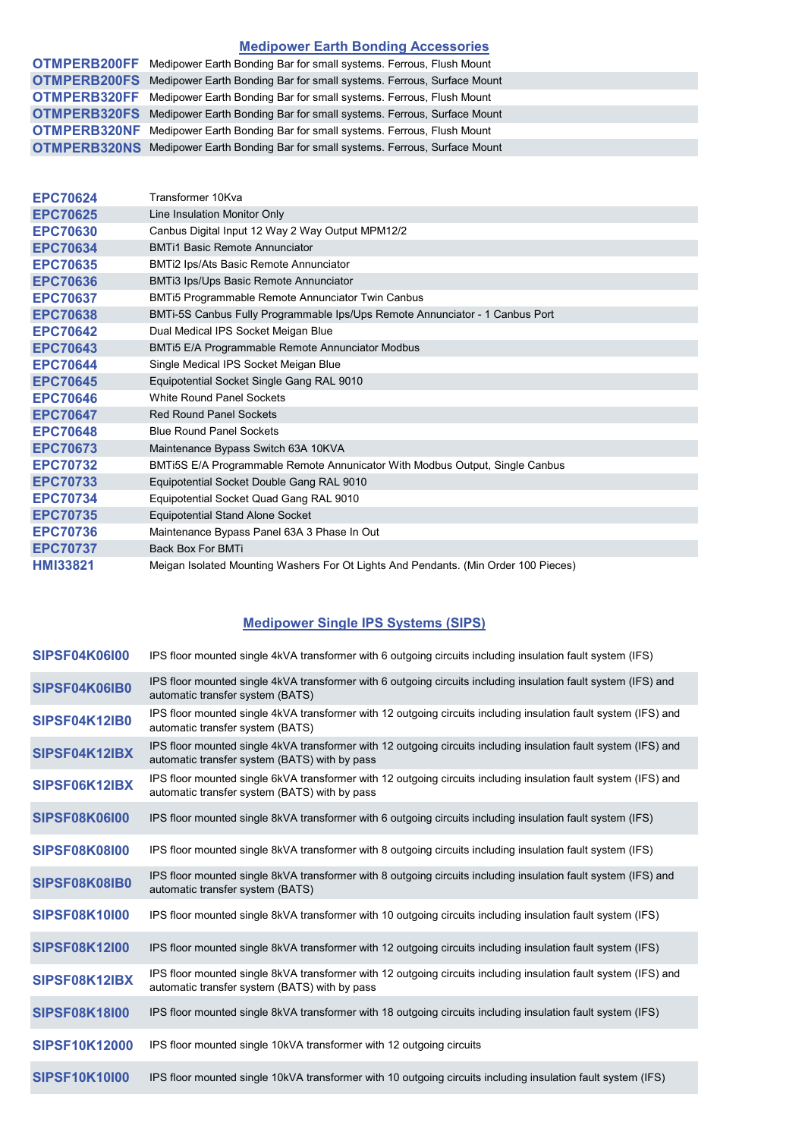## **Medipower Earth Bonding Accessories**

| <b>OTMPERB200FF</b> Medipower Earth Bonding Bar for small systems. Ferrous, Flush Mount   |
|-------------------------------------------------------------------------------------------|
| <b>OTMPERB200FS</b> Medipower Earth Bonding Bar for small systems. Ferrous, Surface Mount |
| <b>OTMPERB320FF</b> Medipower Earth Bonding Bar for small systems. Ferrous, Flush Mount   |
| <b>OTMPERB320FS</b> Medipower Earth Bonding Bar for small systems. Ferrous, Surface Mount |
| <b>OTMPERB320NF</b> Medipower Earth Bonding Bar for small systems. Ferrous, Flush Mount   |
| <b>OTMPERB320NS</b> Medipower Earth Bonding Bar for small systems. Ferrous, Surface Mount |

| <b>EPC70624</b> | Transformer 10Kva                                                                   |
|-----------------|-------------------------------------------------------------------------------------|
| <b>EPC70625</b> | Line Insulation Monitor Only                                                        |
| <b>EPC70630</b> | Canbus Digital Input 12 Way 2 Way Output MPM12/2                                    |
| <b>EPC70634</b> | <b>BMTi1 Basic Remote Annunciator</b>                                               |
| <b>EPC70635</b> | BMTi2 Ips/Ats Basic Remote Annunciator                                              |
| <b>EPC70636</b> | BMTi3 Ips/Ups Basic Remote Annunciator                                              |
| <b>EPC70637</b> | BMTi5 Programmable Remote Annunciator Twin Canbus                                   |
| <b>EPC70638</b> | BMTi-5S Canbus Fully Programmable Ips/Ups Remote Annunciator - 1 Canbus Port        |
| <b>EPC70642</b> | Dual Medical IPS Socket Meigan Blue                                                 |
| <b>EPC70643</b> | BMTi5 E/A Programmable Remote Annunciator Modbus                                    |
| <b>EPC70644</b> | Single Medical IPS Socket Meigan Blue                                               |
| <b>EPC70645</b> | Equipotential Socket Single Gang RAL 9010                                           |
| <b>EPC70646</b> | <b>White Round Panel Sockets</b>                                                    |
| <b>EPC70647</b> | <b>Red Round Panel Sockets</b>                                                      |
| <b>EPC70648</b> | <b>Blue Round Panel Sockets</b>                                                     |
| <b>EPC70673</b> | Maintenance Bypass Switch 63A 10KVA                                                 |
| <b>EPC70732</b> | BMTi5S E/A Programmable Remote Annunicator With Modbus Output, Single Canbus        |
| <b>EPC70733</b> | Equipotential Socket Double Gang RAL 9010                                           |
| <b>EPC70734</b> | Equipotential Socket Quad Gang RAL 9010                                             |
| <b>EPC70735</b> | <b>Equipotential Stand Alone Socket</b>                                             |
| <b>EPC70736</b> | Maintenance Bypass Panel 63A 3 Phase In Out                                         |
| <b>EPC70737</b> | <b>Back Box For BMTi</b>                                                            |
| <b>HMI33821</b> | Meigan Isolated Mounting Washers For Ot Lights And Pendants. (Min Order 100 Pieces) |

## **Medipower Single IPS Systems (SIPS)**

| SIPSF04K06I00        | IPS floor mounted single 4kVA transformer with 6 outgoing circuits including insulation fault system (IFS)                                                       |
|----------------------|------------------------------------------------------------------------------------------------------------------------------------------------------------------|
| SIPSF04K06IB0        | IPS floor mounted single 4kVA transformer with 6 outgoing circuits including insulation fault system (IFS) and<br>automatic transfer system (BATS)               |
| <b>SIPSF04K12IB0</b> | IPS floor mounted single 4kVA transformer with 12 outgoing circuits including insulation fault system (IFS) and<br>automatic transfer system (BATS)              |
| SIPSF04K12IBX        | IPS floor mounted single 4kVA transformer with 12 outgoing circuits including insulation fault system (IFS) and<br>automatic transfer system (BATS) with by pass |
| SIPSF06K12IBX        | IPS floor mounted single 6kVA transformer with 12 outgoing circuits including insulation fault system (IFS) and<br>automatic transfer system (BATS) with by pass |
| <b>SIPSF08K06I00</b> | IPS floor mounted single 8kVA transformer with 6 outgoing circuits including insulation fault system (IFS)                                                       |
| <b>SIPSF08K08I00</b> | IPS floor mounted single 8kVA transformer with 8 outgoing circuits including insulation fault system (IFS)                                                       |
| SIPSF08K08IB0        | IPS floor mounted single 8kVA transformer with 8 outgoing circuits including insulation fault system (IFS) and<br>automatic transfer system (BATS)               |
| <b>SIPSF08K10I00</b> | IPS floor mounted single 8kVA transformer with 10 outgoing circuits including insulation fault system (IFS)                                                      |
| <b>SIPSF08K12I00</b> | IPS floor mounted single 8kVA transformer with 12 outgoing circuits including insulation fault system (IFS)                                                      |
| SIPSF08K12IBX        | IPS floor mounted single 8kVA transformer with 12 outgoing circuits including insulation fault system (IFS) and<br>automatic transfer system (BATS) with by pass |
| <b>SIPSF08K18I00</b> | IPS floor mounted single 8kVA transformer with 18 outgoing circuits including insulation fault system (IFS)                                                      |
| <b>SIPSF10K12000</b> | IPS floor mounted single 10kVA transformer with 12 outgoing circuits                                                                                             |
| <b>SIPSF10K10I00</b> | IPS floor mounted single 10kVA transformer with 10 outgoing circuits including insulation fault system (IFS)                                                     |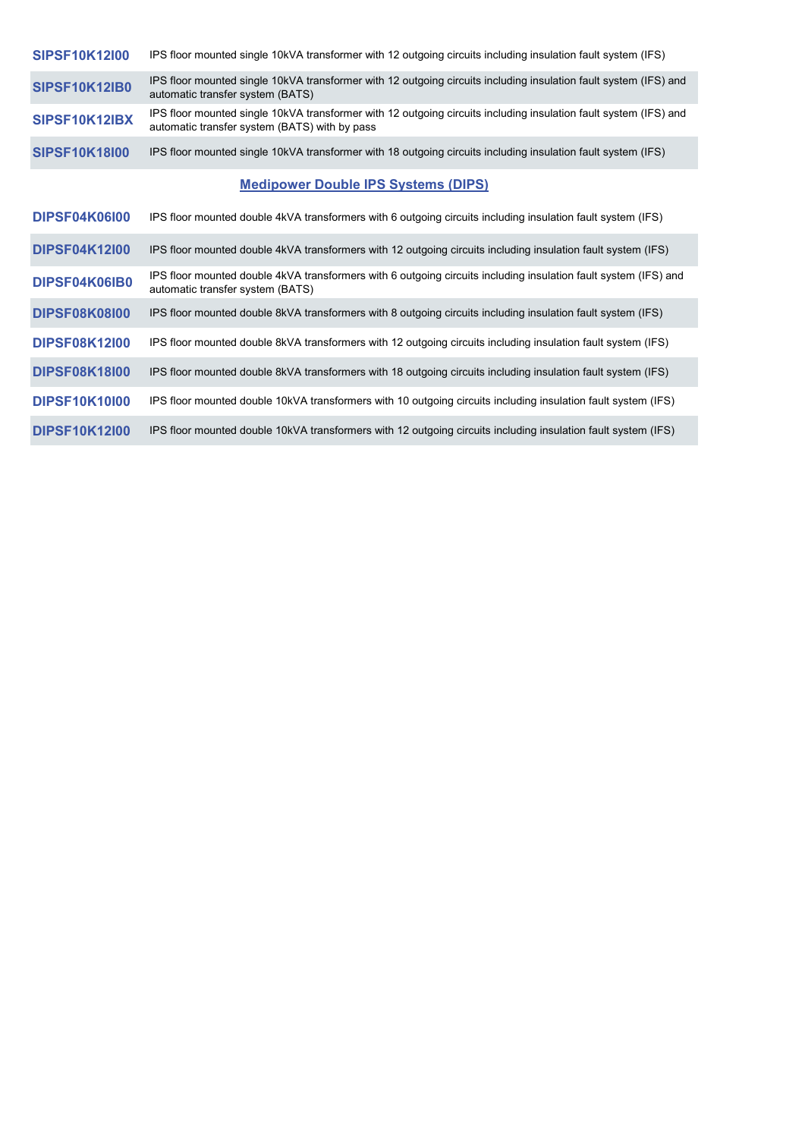| <b>SIPSF10K12I00</b> | IPS floor mounted single 10kVA transformer with 12 outgoing circuits including insulation fault system (IFS)                                                      |
|----------------------|-------------------------------------------------------------------------------------------------------------------------------------------------------------------|
| <b>SIPSF10K12IB0</b> | IPS floor mounted single 10kVA transformer with 12 outgoing circuits including insulation fault system (IFS) and<br>automatic transfer system (BATS)              |
| SIPSF10K12IBX        | IPS floor mounted single 10kVA transformer with 12 outgoing circuits including insulation fault system (IFS) and<br>automatic transfer system (BATS) with by pass |
| <b>SIPSF10K18I00</b> | IPS floor mounted single 10kVA transformer with 18 outgoing circuits including insulation fault system (IFS)                                                      |
|                      | <b>Medipower Double IPS Systems (DIPS)</b>                                                                                                                        |
| <b>DIPSF04K06I00</b> | IPS floor mounted double 4kVA transformers with 6 outgoing circuits including insulation fault system (IFS)                                                       |
| <b>DIPSF04K12I00</b> | IPS floor mounted double 4kVA transformers with 12 outgoing circuits including insulation fault system (IFS)                                                      |
| DIPSF04K06IB0        | IPS floor mounted double 4kVA transformers with 6 outgoing circuits including insulation fault system (IFS) and<br>automatic transfer system (BATS)               |
| <b>DIPSF08K08I00</b> | IPS floor mounted double 8kVA transformers with 8 outgoing circuits including insulation fault system (IFS)                                                       |
| <b>DIPSF08K12I00</b> | IPS floor mounted double 8kVA transformers with 12 outgoing circuits including insulation fault system (IFS)                                                      |
| <b>DIPSF08K18I00</b> | IPS floor mounted double 8kVA transformers with 18 outgoing circuits including insulation fault system (IFS)                                                      |
| <b>DIPSF10K10I00</b> | IPS floor mounted double 10kVA transformers with 10 outgoing circuits including insulation fault system (IFS)                                                     |
| <b>DIPSF10K12I00</b> | IPS floor mounted double 10kVA transformers with 12 outgoing circuits including insulation fault system (IFS)                                                     |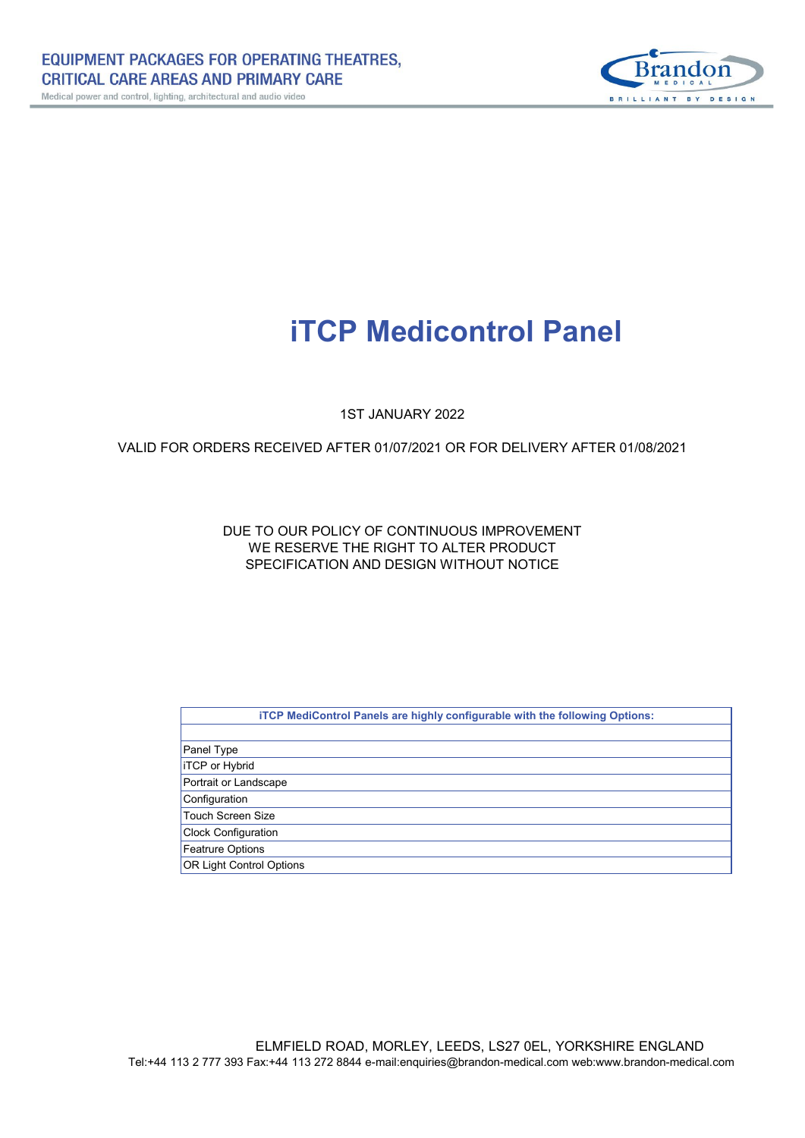

# **iTCP Medicontrol Panel**

1ST JANUARY 2022

## VALID FOR ORDERS RECEIVED AFTER 01/07/2021 OR FOR DELIVERY AFTER 01/08/2021

## DUE TO OUR POLICY OF CONTINUOUS IMPROVEMENT WE RESERVE THE RIGHT TO ALTER PRODUCT SPECIFICATION AND DESIGN WITHOUT NOTICE

| iTCP MediControl Panels are highly configurable with the following Options: |
|-----------------------------------------------------------------------------|
|                                                                             |
| Panel Type                                                                  |
| <b>ITCP</b> or Hybrid                                                       |
| Portrait or Landscape                                                       |
| Configuration                                                               |
| Touch Screen Size                                                           |
| <b>Clock Configuration</b>                                                  |
| <b>Featrure Options</b>                                                     |
| <b>OR Light Control Options</b>                                             |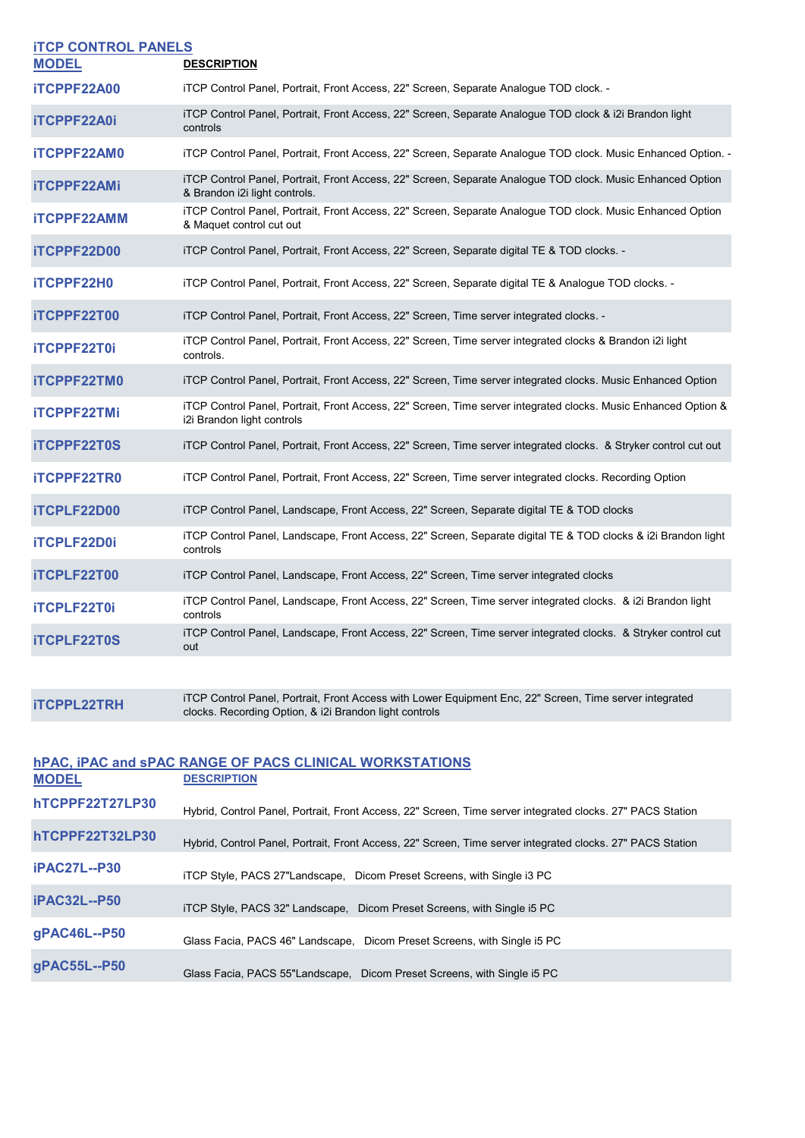| <b>ITCP CONTROL PANELS</b> |                                                                                                                                              |
|----------------------------|----------------------------------------------------------------------------------------------------------------------------------------------|
| <b>MODEL</b>               | <b>DESCRIPTION</b>                                                                                                                           |
| <b>iTCPPF22A00</b>         | iTCP Control Panel, Portrait, Front Access, 22" Screen, Separate Analogue TOD clock. -                                                       |
| <b>iTCPPF22A0i</b>         | iTCP Control Panel, Portrait, Front Access, 22" Screen, Separate Analogue TOD clock & i2i Brandon light<br>controls                          |
| <b>iTCPPF22AM0</b>         | iTCP Control Panel, Portrait, Front Access, 22" Screen, Separate Analogue TOD clock. Music Enhanced Option. -                                |
| <b>iTCPPF22AMi</b>         | iTCP Control Panel, Portrait, Front Access, 22" Screen, Separate Analogue TOD clock. Music Enhanced Option<br>& Brandon i2i light controls.  |
| <b>iTCPPF22AMM</b>         | iTCP Control Panel, Portrait, Front Access, 22" Screen, Separate Analogue TOD clock. Music Enhanced Option<br>& Maquet control cut out       |
| iTCPPF22D00                | iTCP Control Panel, Portrait, Front Access, 22" Screen, Separate digital TE & TOD clocks. -                                                  |
| <b>iTCPPF22H0</b>          | iTCP Control Panel, Portrait, Front Access, 22" Screen, Separate digital TE & Analogue TOD clocks. -                                         |
| iTCPPF22T00                | iTCP Control Panel, Portrait, Front Access, 22" Screen, Time server integrated clocks. -                                                     |
| <b>iTCPPF22T0i</b>         | iTCP Control Panel, Portrait, Front Access, 22" Screen, Time server integrated clocks & Brandon i2i light<br>controls.                       |
| <b>iTCPPF22TM0</b>         | iTCP Control Panel, Portrait, Front Access, 22" Screen, Time server integrated clocks. Music Enhanced Option                                 |
| <b>iTCPPF22TMi</b>         | iTCP Control Panel, Portrait, Front Access, 22" Screen, Time server integrated clocks. Music Enhanced Option &<br>i2i Brandon light controls |
| <b>iTCPPF22T0S</b>         | iTCP Control Panel, Portrait, Front Access, 22" Screen, Time server integrated clocks. & Stryker control cut out                             |
| <b>iTCPPF22TR0</b>         | iTCP Control Panel, Portrait, Front Access, 22" Screen, Time server integrated clocks. Recording Option                                      |
| <b>iTCPLF22D00</b>         | iTCP Control Panel, Landscape, Front Access, 22" Screen, Separate digital TE & TOD clocks                                                    |
| <b>iTCPLF22D0i</b>         | iTCP Control Panel, Landscape, Front Access, 22" Screen, Separate digital TE & TOD clocks & i2i Brandon light<br>controls                    |
| iTCPLF22T00                | iTCP Control Panel, Landscape, Front Access, 22" Screen, Time server integrated clocks                                                       |
| <b>iTCPLF22T0i</b>         | iTCP Control Panel, Landscape, Front Access, 22" Screen, Time server integrated clocks. & i2i Brandon light<br>controls                      |
| <b>iTCPLF22T0S</b>         | iTCP Control Panel, Landscape, Front Access, 22" Screen, Time server integrated clocks. & Stryker control cut<br>out                         |
|                            |                                                                                                                                              |

**iTCPPL22TRH** iTCP Control Panel, Portrait, Front Access with Lower Equipment Enc, 22" Screen, Time server integrated<br>clocks. Recording Option, & i2i Brandon light controls

| hPAC, IPAC and SPAC RANGE OF PACS CLINICAL WORKSTATIONS |                                                                                                            |
|---------------------------------------------------------|------------------------------------------------------------------------------------------------------------|
| <b>MODEL</b>                                            | <b>DESCRIPTION</b>                                                                                         |
| hTCPPF22T27LP30                                         | Hybrid, Control Panel, Portrait, Front Access, 22" Screen, Time server integrated clocks. 27" PACS Station |
| hTCPPF22T32LP30                                         | Hybrid, Control Panel, Portrait, Front Access, 22" Screen, Time server integrated clocks. 27" PACS Station |
| <b>iPAC27L--P30</b>                                     | iTCP Style, PACS 27"Landscape, Dicom Preset Screens, with Single i3 PC                                     |
| <b>iPAC32L--P50</b>                                     | iTCP Style, PACS 32" Landscape, Dicom Preset Screens, with Single i5 PC                                    |
| gPAC46L--P50                                            | Glass Facia, PACS 46" Landscape, Dicom Preset Screens, with Single i5 PC                                   |
| gPAC55L--P50                                            | Glass Facia, PACS 55"Landscape, Dicom Preset Screens, with Single i5 PC                                    |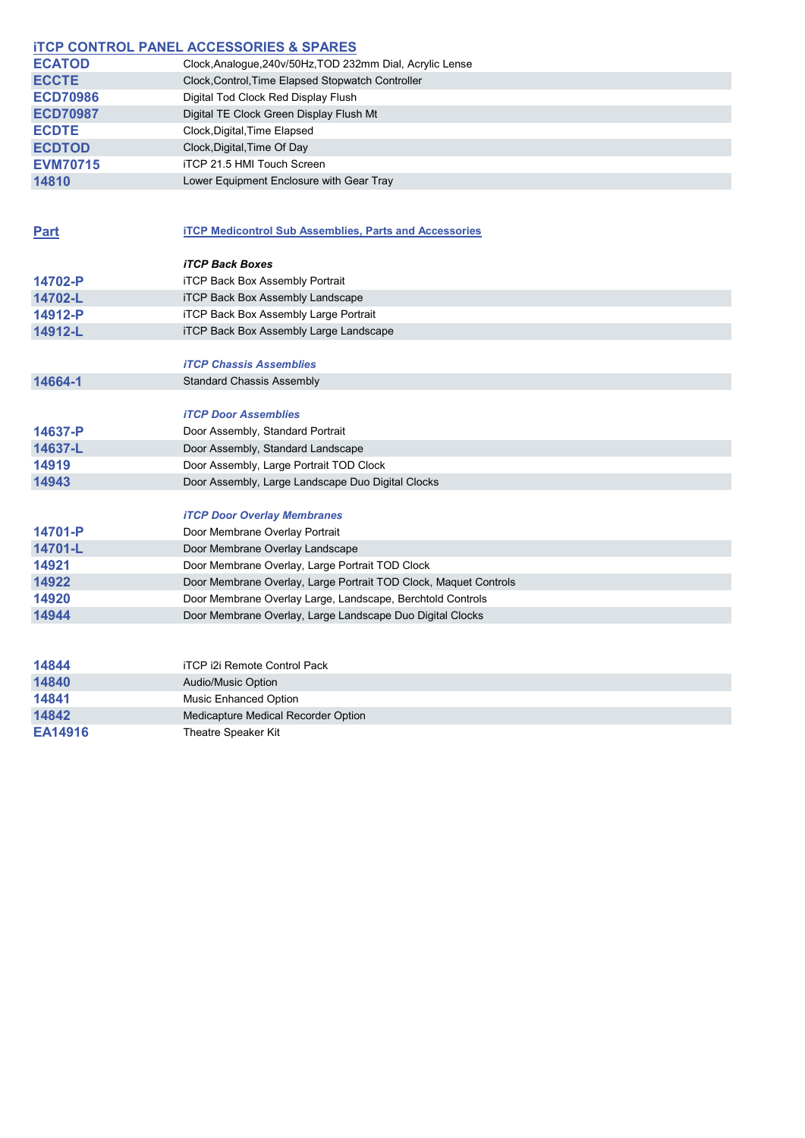|                 | <b>ITCP CONTROL PANEL ACCESSORIES &amp; SPARES</b>               |
|-----------------|------------------------------------------------------------------|
| <b>ECATOD</b>   | Clock, Analogue, 240v/50Hz, TOD 232mm Dial, Acrylic Lense        |
| <b>ECCTE</b>    | Clock, Control, Time Elapsed Stopwatch Controller                |
| <b>ECD70986</b> | Digital Tod Clock Red Display Flush                              |
| <b>ECD70987</b> | Digital TE Clock Green Display Flush Mt                          |
| <b>ECDTE</b>    | Clock, Digital, Time Elapsed                                     |
| <b>ECDTOD</b>   | Clock, Digital, Time Of Day                                      |
| <b>EVM70715</b> | iTCP 21.5 HMI Touch Screen                                       |
| 14810           | Lower Equipment Enclosure with Gear Tray                         |
|                 |                                                                  |
| Part            | <b>iTCP Medicontrol Sub Assemblies, Parts and Accessories</b>    |
|                 | <b>iTCP Back Boxes</b>                                           |
| 14702-P         | <b>iTCP Back Box Assembly Portrait</b>                           |
| 14702-L         | <b>iTCP Back Box Assembly Landscape</b>                          |
| 14912-P         | iTCP Back Box Assembly Large Portrait                            |
| 14912-L         | <b>iTCP Back Box Assembly Large Landscape</b>                    |
|                 |                                                                  |
|                 | <b>iTCP Chassis Assemblies</b>                                   |
| 14664-1         | <b>Standard Chassis Assembly</b>                                 |
|                 |                                                                  |
|                 | <b>iTCP Door Assemblies</b>                                      |
| 14637-P         | Door Assembly, Standard Portrait                                 |
| 14637-L         | Door Assembly, Standard Landscape                                |
| 14919           | Door Assembly, Large Portrait TOD Clock                          |
| 14943           | Door Assembly, Large Landscape Duo Digital Clocks                |
|                 |                                                                  |
|                 | <b>iTCP Door Overlay Membranes</b>                               |
| 14701-P         | Door Membrane Overlay Portrait                                   |
| 14701-L         | Door Membrane Overlay Landscape                                  |
| 14921           | Door Membrane Overlay, Large Portrait TOD Clock                  |
| 14922           | Door Membrane Overlay, Large Portrait TOD Clock, Maquet Controls |
| 14920           | Door Membrane Overlay Large, Landscape, Berchtold Controls       |
| 14944           | Door Membrane Overlay, Large Landscape Duo Digital Clocks        |
|                 |                                                                  |
| 14844           | <b>iTCP i2i Remote Control Pack</b>                              |
| 14840           | Audio/Music Option                                               |
| 14841           | Music Enhanced Option                                            |
| 14842           | Medicapture Medical Recorder Option                              |
| EA14916         | Theatre Speaker Kit                                              |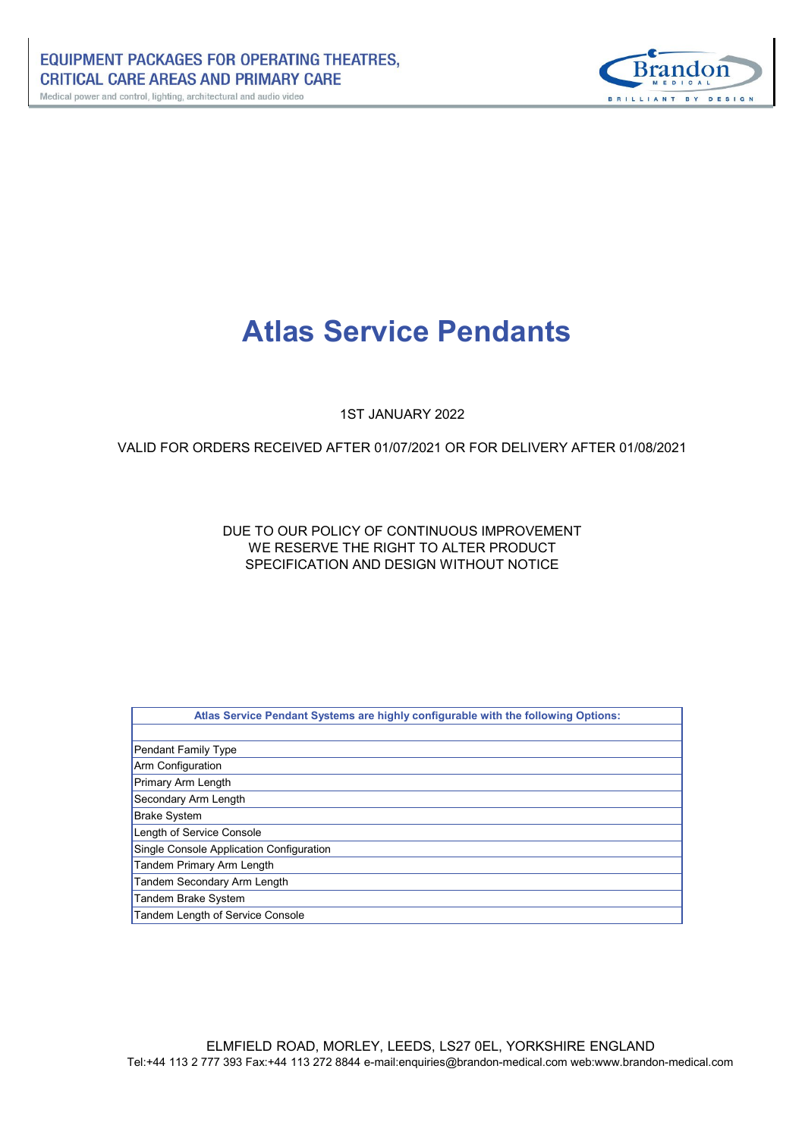

# **Atlas Service Pendants**

1ST JANUARY 2022

## VALID FOR ORDERS RECEIVED AFTER 01/07/2021 OR FOR DELIVERY AFTER 01/08/2021

## SPECIFICATION AND DESIGN WITHOUT NOTICE WE RESERVE THE RIGHT TO ALTER PRODUCT DUE TO OUR POLICY OF CONTINUOUS IMPROVEMENT

| Atlas Service Pendant Systems are highly configurable with the following Options: |
|-----------------------------------------------------------------------------------|
|                                                                                   |
| <b>Pendant Family Type</b>                                                        |
| Arm Configuration                                                                 |
| Primary Arm Length                                                                |
| Secondary Arm Length                                                              |
| <b>Brake System</b>                                                               |
| Length of Service Console                                                         |
| Single Console Application Configuration                                          |
| <b>Tandem Primary Arm Length</b>                                                  |
| Tandem Secondary Arm Length                                                       |
| Tandem Brake System                                                               |
| Tandem Length of Service Console                                                  |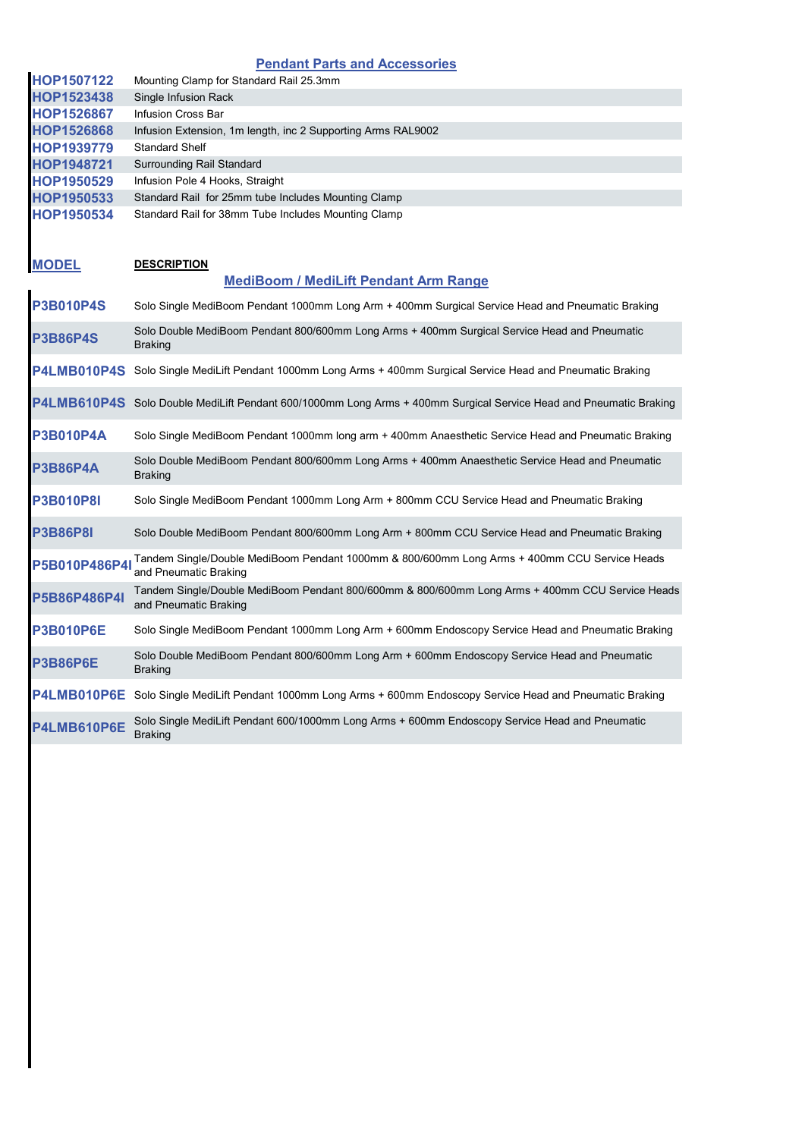## **Pendant Parts and Accessories**

| HOP1507122         | Mounting Clamp for Standard Rail 25.3mm                                                                                  |
|--------------------|--------------------------------------------------------------------------------------------------------------------------|
| HOP1523438         | Single Infusion Rack                                                                                                     |
| <b>HOP1526867</b>  | Infusion Cross Bar                                                                                                       |
| HOP1526868         | Infusion Extension, 1m length, inc 2 Supporting Arms RAL9002                                                             |
| <b>HOP1939779</b>  | <b>Standard Shelf</b>                                                                                                    |
| HOP1948721         | Surrounding Rail Standard                                                                                                |
| HOP1950529         | Infusion Pole 4 Hooks, Straight                                                                                          |
| HOP1950533         | Standard Rail for 25mm tube Includes Mounting Clamp                                                                      |
| HOP1950534         | Standard Rail for 38mm Tube Includes Mounting Clamp                                                                      |
| <b>MODEL</b>       | <b>DESCRIPTION</b>                                                                                                       |
|                    | <b>MediBoom / MediLift Pendant Arm Range</b>                                                                             |
| <b>P3B010P4S</b>   | Solo Single MediBoom Pendant 1000mm Long Arm + 400mm Surgical Service Head and Pneumatic Braking                         |
| <b>P3B86P4S</b>    | Solo Double MediBoom Pendant 800/600mm Long Arms + 400mm Surgical Service Head and Pneumatic<br><b>Braking</b>           |
| <b>P4LMB010P4S</b> | Solo Single MediLift Pendant 1000mm Long Arms + 400mm Surgical Service Head and Pneumatic Braking                        |
|                    | P4LMB610P4S Solo Double MediLift Pendant 600/1000mm Long Arms + 400mm Surgical Service Head and Pneumatic Braking        |
| <b>P3B010P4A</b>   | Solo Single MediBoom Pendant 1000mm long arm + 400mm Anaesthetic Service Head and Pneumatic Braking                      |
| <b>P3B86P4A</b>    | Solo Double MediBoom Pendant 800/600mm Long Arms + 400mm Anaesthetic Service Head and Pneumatic<br>Braking               |
| <b>P3B010P8I</b>   | Solo Single MediBoom Pendant 1000mm Long Arm + 800mm CCU Service Head and Pneumatic Braking                              |
| <b>P3B86P8I</b>    | Solo Double MediBoom Pendant 800/600mm Long Arm + 800mm CCU Service Head and Pneumatic Braking                           |
| P5B010P486P4I      | Tandem Single/Double MediBoom Pendant 1000mm & 800/600mm Long Arms + 400mm CCU Service Heads<br>and Pneumatic Braking    |
| P5B86P486P4I       | Tandem Single/Double MediBoom Pendant 800/600mm & 800/600mm Long Arms + 400mm CCU Service Heads<br>and Pneumatic Braking |
| <b>P3B010P6E</b>   | Solo Single MediBoom Pendant 1000mm Long Arm + 600mm Endoscopy Service Head and Pneumatic Braking                        |
| <b>P3B86P6E</b>    | Solo Double MediBoom Pendant 800/600mm Long Arm + 600mm Endoscopy Service Head and Pneumatic<br>Braking                  |
| <b>P4LMB010P6E</b> | Solo Single MediLift Pendant 1000mm Long Arms + 600mm Endoscopy Service Head and Pneumatic Braking                       |
| P4LMB610P6E        | Solo Single MediLift Pendant 600/1000mm Long Arms + 600mm Endoscopy Service Head and Pneumatic<br>Braking                |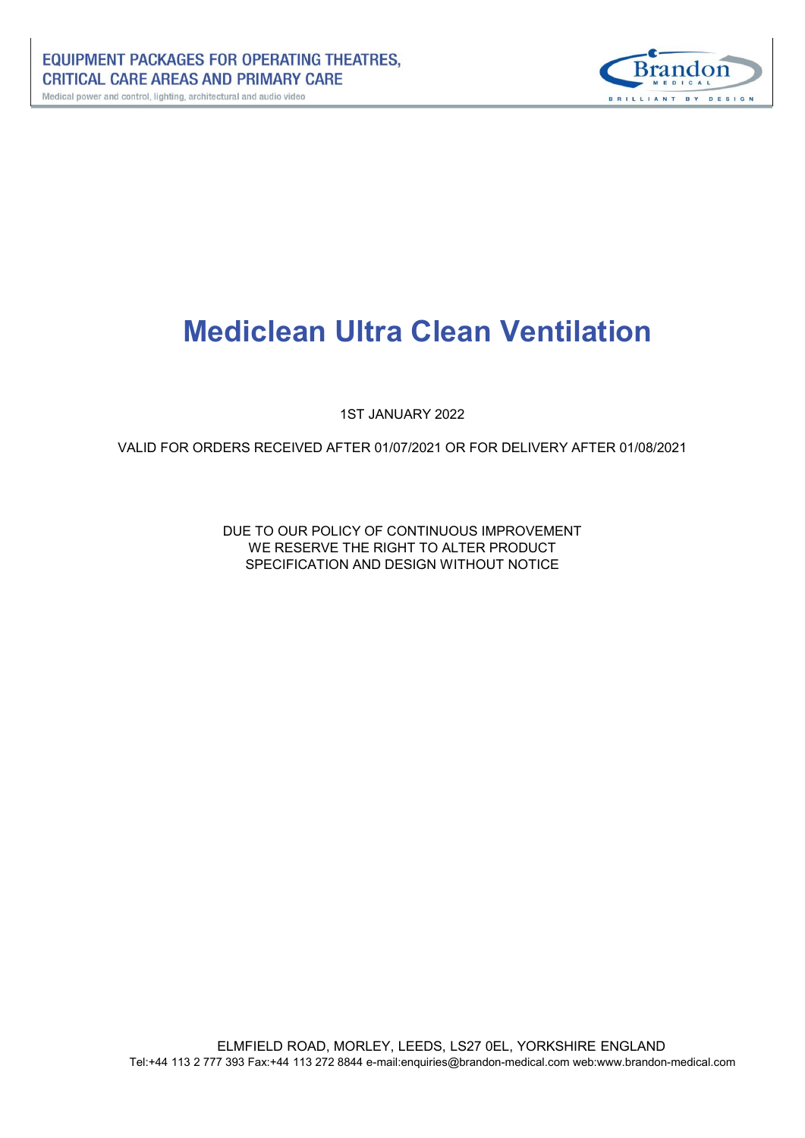

# **Mediclean Ultra Clean Ventilation**

1ST JANUARY 2022

VALID FOR ORDERS RECEIVED AFTER 01/07/2021 OR FOR DELIVERY AFTER 01/08/2021

DUE TO OUR POLICY OF CONTINUOUS IMPROVEMENT WE RESERVE THE RIGHT TO ALTER PRODUCT SPECIFICATION AND DESIGN WITHOUT NOTICE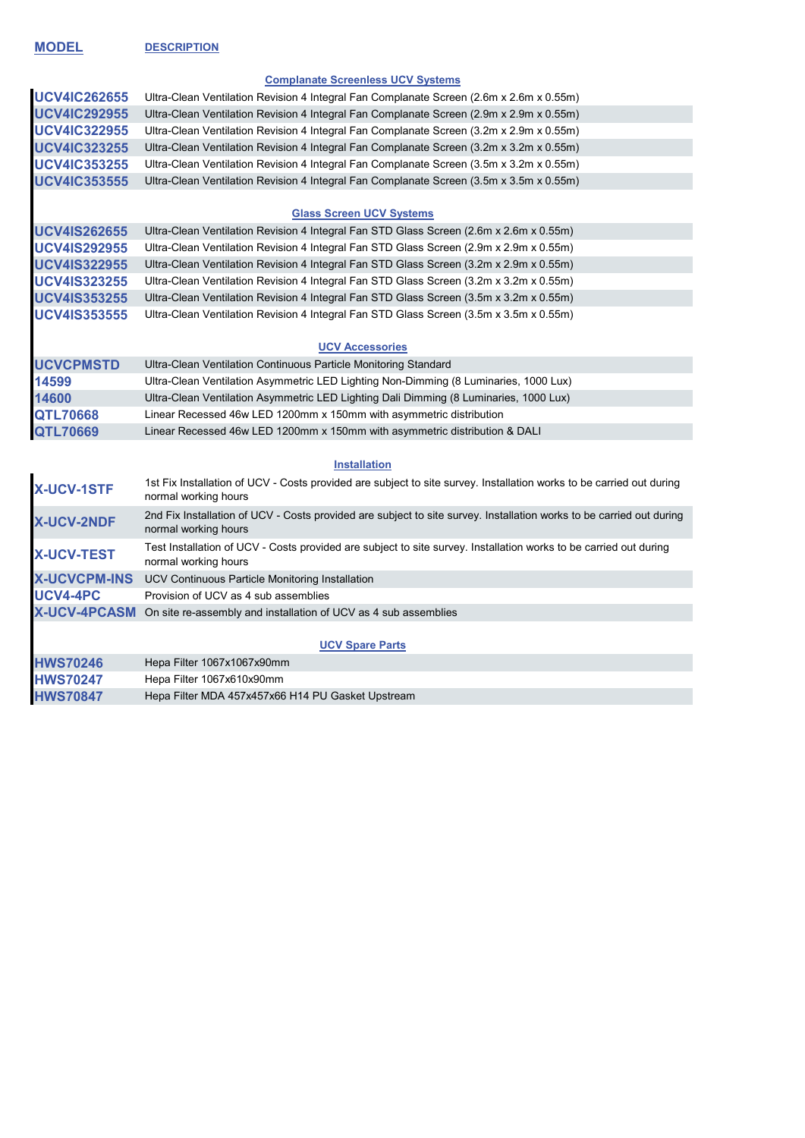**MODEL DESCRIPTION**

#### **Complanate Screenless UCV Systems**

| <b>UCV4IC262655</b> | Ultra-Clean Ventilation Revision 4 Integral Fan Complanate Screen (2.6m x 2.6m x 0.55m) |
|---------------------|-----------------------------------------------------------------------------------------|
| <b>UCV4IC292955</b> | Ultra-Clean Ventilation Revision 4 Integral Fan Complanate Screen (2.9m x 2.9m x 0.55m) |
| <b>UCV4IC322955</b> | Ultra-Clean Ventilation Revision 4 Integral Fan Complanate Screen (3.2m x 2.9m x 0.55m) |
| <b>UCV4IC323255</b> | Ultra-Clean Ventilation Revision 4 Integral Fan Complanate Screen (3.2m x 3.2m x 0.55m) |
| <b>UCV4IC353255</b> | Ultra-Clean Ventilation Revision 4 Integral Fan Complanate Screen (3.5m x 3.2m x 0.55m) |
| <b>UCV4IC353555</b> | Ultra-Clean Ventilation Revision 4 Integral Fan Complanate Screen (3.5m x 3.5m x 0.55m) |

#### **Glass Screen UCV Systems**

| <b>UCV4IS262655</b> | Ultra-Clean Ventilation Revision 4 Integral Fan STD Glass Screen (2.6m x 2.6m x 0.55m) |
|---------------------|----------------------------------------------------------------------------------------|
| <b>UCV4IS292955</b> | Ultra-Clean Ventilation Revision 4 Integral Fan STD Glass Screen (2.9m x 2.9m x 0.55m) |
| <b>UCV4IS322955</b> | Ultra-Clean Ventilation Revision 4 Integral Fan STD Glass Screen (3.2m x 2.9m x 0.55m) |
| <b>UCV4IS323255</b> | Ultra-Clean Ventilation Revision 4 Integral Fan STD Glass Screen (3.2m x 3.2m x 0.55m) |
| <b>UCV4IS353255</b> | Ultra-Clean Ventilation Revision 4 Integral Fan STD Glass Screen (3.5m x 3.2m x 0.55m) |
| <b>UCV4IS353555</b> | Ultra-Clean Ventilation Revision 4 Integral Fan STD Glass Screen (3.5m x 3.5m x 0.55m) |

## **UCV Accessories**

| <b>UCVCPMSTD</b> | Ultra-Clean Ventilation Continuous Particle Monitoring Standard                       |
|------------------|---------------------------------------------------------------------------------------|
| 14599            | Ultra-Clean Ventilation Asymmetric LED Lighting Non-Dimming (8 Luminaries, 1000 Lux)  |
| 14600            | Ultra-Clean Ventilation Asymmetric LED Lighting Dali Dimming (8 Luminaries, 1000 Lux) |
| <b>QTL70668</b>  | Linear Recessed 46w LED 1200mm x 150mm with asymmetric distribution                   |
| <b>QTL70669</b>  | Linear Recessed 46w LED 1200mm x 150mm with asymmetric distribution & DALI            |

## **Installation**

| <b>X-UCV-1STF</b>   | 1st Fix Installation of UCV - Costs provided are subject to site survey. Installation works to be carried out during<br>normal working hours |
|---------------------|----------------------------------------------------------------------------------------------------------------------------------------------|
| <b>X-UCV-2NDF</b>   | 2nd Fix Installation of UCV - Costs provided are subject to site survey. Installation works to be carried out during<br>normal working hours |
| <b>X-UCV-TEST</b>   | Test Installation of UCV - Costs provided are subject to site survey. Installation works to be carried out during<br>normal working hours    |
| <b>X-UCVCPM-INS</b> | UCV Continuous Particle Monitoring Installation                                                                                              |
| UCV4-4PC            | Provision of UCV as 4 sub assemblies                                                                                                         |
| <b>X-UCV-4PCASM</b> | On site re-assembly and installation of UCV as 4 sub assemblies                                                                              |
|                     |                                                                                                                                              |
|                     | <b>UCV Spare Parts</b>                                                                                                                       |
| <b>HWS70246</b>     | Hepa Filter 1067x1067x90mm                                                                                                                   |
| <b>HWS70247</b>     | Hepa Filter 1067x610x90mm                                                                                                                    |
| <b>HWS70847</b>     | Hepa Filter MDA 457x457x66 H14 PU Gasket Upstream                                                                                            |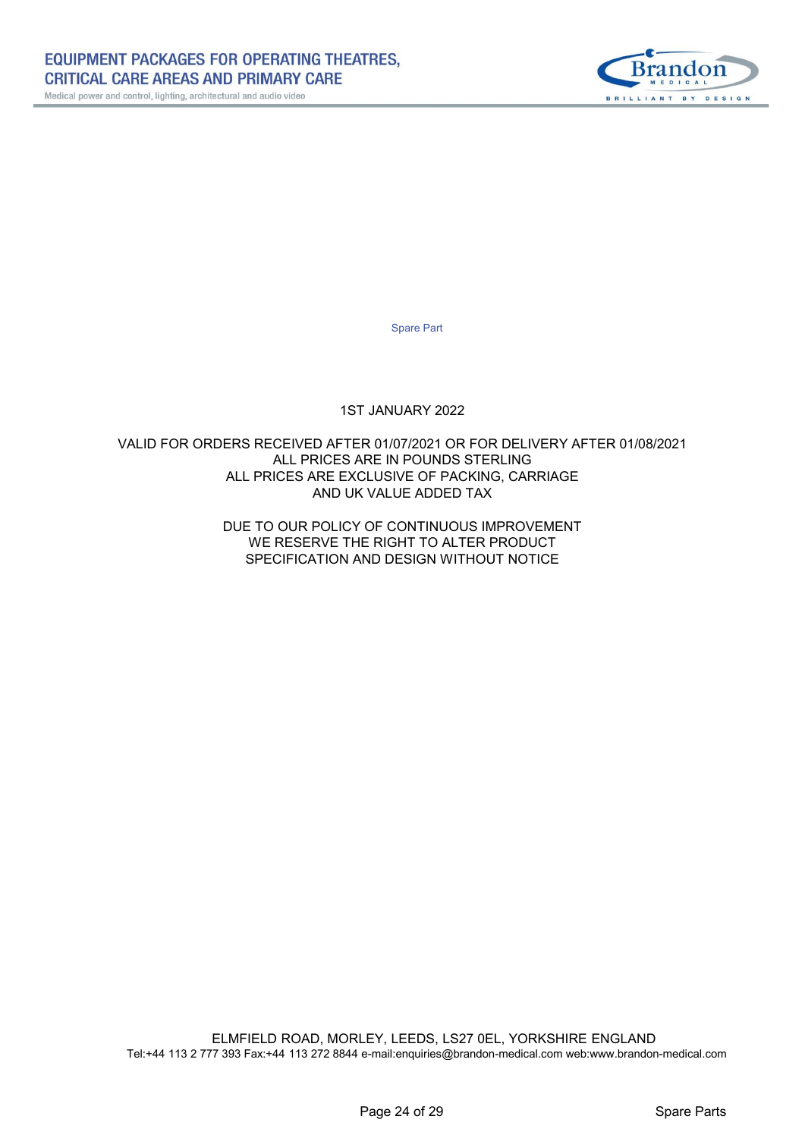

Spare Part

## 1ST JANUARY 2022

## VALID FOR ORDERS RECEIVED AFTER 01/07/2021 OR FOR DELIVERY AFTER 01/08/2021 ALL PRICES ARE IN POUNDS STERLING ALL PRICES ARE EXCLUSIVE OF PACKING, CARRIAGE AND UK VALUE ADDED TAX

SPECIFICATION AND DESIGN WITHOUT NOTICE WE RESERVE THE RIGHT TO ALTER PRODUCT DUE TO OUR POLICY OF CONTINUOUS IMPROVEMENT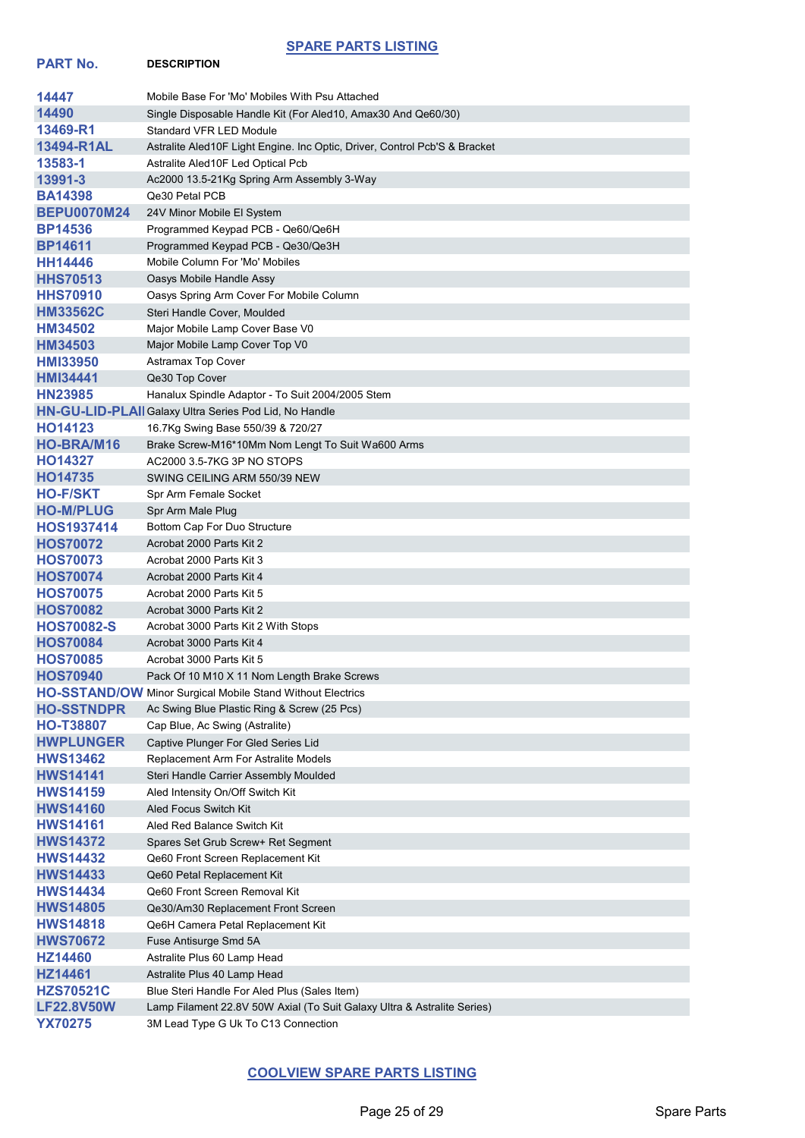## **SPARE PARTS LISTING**

**PART No. DESCRIPTION**

| 14447              | Mobile Base For 'Mo' Mobiles With Psu Attached                             |
|--------------------|----------------------------------------------------------------------------|
| 14490              | Single Disposable Handle Kit (For Aled10, Amax30 And Qe60/30)              |
| 13469-R1           | <b>Standard VFR LED Module</b>                                             |
| 13494-R1AL         | Astralite Aled10F Light Engine. Inc Optic, Driver, Control Pcb'S & Bracket |
| 13583-1            | Astralite Aled10F Led Optical Pcb                                          |
| 13991-3            | Ac2000 13.5-21Kg Spring Arm Assembly 3-Way                                 |
| <b>BA14398</b>     | Qe30 Petal PCB                                                             |
| <b>BEPU0070M24</b> | 24V Minor Mobile El System                                                 |
| <b>BP14536</b>     | Programmed Keypad PCB - Qe60/Qe6H                                          |
| <b>BP14611</b>     | Programmed Keypad PCB - Qe30/Qe3H                                          |
| <b>HH14446</b>     | Mobile Column For 'Mo' Mobiles                                             |
| <b>HHS70513</b>    | Oasys Mobile Handle Assy                                                   |
| <b>HHS70910</b>    | Oasys Spring Arm Cover For Mobile Column                                   |
| <b>HM33562C</b>    | Steri Handle Cover, Moulded                                                |
| HM34502            | Major Mobile Lamp Cover Base V0                                            |
| HM34503            | Major Mobile Lamp Cover Top V0                                             |
| <b>HMI33950</b>    | <b>Astramax Top Cover</b>                                                  |
| <b>HMI34441</b>    | Qe30 Top Cover                                                             |
| <b>HN23985</b>     | Hanalux Spindle Adaptor - To Suit 2004/2005 Stem                           |
|                    | HN-GU-LID-PLAII Galaxy Ultra Series Pod Lid, No Handle                     |
| HO14123            | 16.7Kg Swing Base 550/39 & 720/27                                          |
| <b>HO-BRA/M16</b>  | Brake Screw-M16*10Mm Nom Lengt To Suit Wa600 Arms                          |
| HO14327            | AC2000 3.5-7KG 3P NO STOPS                                                 |
| HO14735            | SWING CEILING ARM 550/39 NEW                                               |
| <b>HO-F/SKT</b>    | Spr Arm Female Socket                                                      |
| <b>HO-M/PLUG</b>   | Spr Arm Male Plug                                                          |
| <b>HOS1937414</b>  | Bottom Cap For Duo Structure                                               |
| <b>HOS70072</b>    | Acrobat 2000 Parts Kit 2                                                   |
| <b>HOS70073</b>    | Acrobat 2000 Parts Kit 3                                                   |
| <b>HOS70074</b>    | Acrobat 2000 Parts Kit 4                                                   |
| <b>HOS70075</b>    | Acrobat 2000 Parts Kit 5                                                   |
| <b>HOS70082</b>    | Acrobat 3000 Parts Kit 2                                                   |
| <b>HOS70082-S</b>  | Acrobat 3000 Parts Kit 2 With Stops                                        |
| <b>HOS70084</b>    | Acrobat 3000 Parts Kit 4                                                   |
| <b>HOS70085</b>    | Acrobat 3000 Parts Kit 5                                                   |
| <b>HOS70940</b>    | Pack Of 10 M10 X 11 Nom Length Brake Screws                                |
|                    | <b>HO-SSTAND/OW</b> Minor Surgical Mobile Stand Without Electrics          |
| <b>HO-SSTNDPR</b>  | Ac Swing Blue Plastic Ring & Screw (25 Pcs)                                |
| <b>HO-T38807</b>   | Cap Blue, Ac Swing (Astralite)                                             |
| <b>HWPLUNGER</b>   | Captive Plunger For Gled Series Lid                                        |
| <b>HWS13462</b>    | Replacement Arm For Astralite Models                                       |
| <b>HWS14141</b>    | Steri Handle Carrier Assembly Moulded                                      |
| <b>HWS14159</b>    | Aled Intensity On/Off Switch Kit                                           |
| <b>HWS14160</b>    | Aled Focus Switch Kit                                                      |
| <b>HWS14161</b>    | Aled Red Balance Switch Kit                                                |
| <b>HWS14372</b>    | Spares Set Grub Screw+ Ret Segment                                         |
| <b>HWS14432</b>    | Qe60 Front Screen Replacement Kit                                          |
| <b>HWS14433</b>    | Qe60 Petal Replacement Kit                                                 |
| <b>HWS14434</b>    | Qe60 Front Screen Removal Kit                                              |
| <b>HWS14805</b>    | Qe30/Am30 Replacement Front Screen                                         |
| <b>HWS14818</b>    | Qe6H Camera Petal Replacement Kit                                          |
| <b>HWS70672</b>    | Fuse Antisurge Smd 5A                                                      |
| HZ14460            | Astralite Plus 60 Lamp Head                                                |
| HZ14461            | Astralite Plus 40 Lamp Head                                                |
| <b>HZS70521C</b>   | Blue Steri Handle For Aled Plus (Sales Item)                               |
| <b>LF22.8V50W</b>  | Lamp Filament 22.8V 50W Axial (To Suit Galaxy Ultra & Astralite Series)    |
| <b>YX70275</b>     | 3M Lead Type G Uk To C13 Connection                                        |
|                    |                                                                            |

# **COOLVIEW SPARE PARTS LISTING**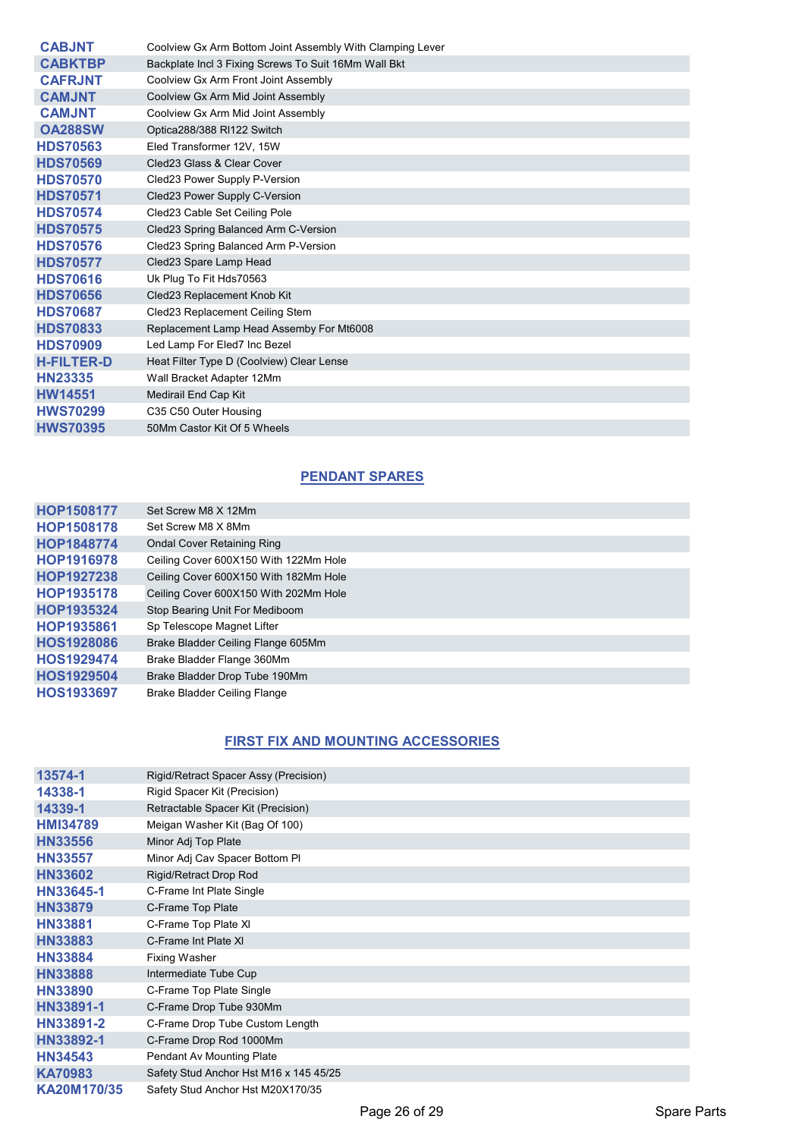| <b>CABJNT</b>     | Coolview Gx Arm Bottom Joint Assembly With Clamping Lever |
|-------------------|-----------------------------------------------------------|
| <b>CABKTBP</b>    | Backplate Incl 3 Fixing Screws To Suit 16Mm Wall Bkt      |
| <b>CAFRJNT</b>    | Coolview Gx Arm Front Joint Assembly                      |
| <b>CAMJNT</b>     | Coolview Gx Arm Mid Joint Assembly                        |
| <b>CAMJNT</b>     | Coolview Gx Arm Mid Joint Assembly                        |
| <b>OA288SW</b>    | Optica288/388 RI122 Switch                                |
| <b>HDS70563</b>   | Eled Transformer 12V, 15W                                 |
| <b>HDS70569</b>   | Cled23 Glass & Clear Cover                                |
| <b>HDS70570</b>   | Cled23 Power Supply P-Version                             |
| <b>HDS70571</b>   | Cled23 Power Supply C-Version                             |
| <b>HDS70574</b>   | Cled23 Cable Set Ceiling Pole                             |
| <b>HDS70575</b>   | Cled23 Spring Balanced Arm C-Version                      |
| <b>HDS70576</b>   | Cled23 Spring Balanced Arm P-Version                      |
| <b>HDS70577</b>   | Cled23 Spare Lamp Head                                    |
| <b>HDS70616</b>   | Uk Plug To Fit Hds70563                                   |
| <b>HDS70656</b>   | Cled23 Replacement Knob Kit                               |
| <b>HDS70687</b>   | Cled23 Replacement Ceiling Stem                           |
| <b>HDS70833</b>   | Replacement Lamp Head Assemby For Mt6008                  |
| <b>HDS70909</b>   | Led Lamp For Eled7 Inc Bezel                              |
| <b>H-FILTER-D</b> | Heat Filter Type D (Coolview) Clear Lense                 |
| <b>HN23335</b>    | Wall Bracket Adapter 12Mm                                 |
| <b>HW14551</b>    | Medirail End Cap Kit                                      |
| <b>HWS70299</b>   | C35 C50 Outer Housing                                     |
| <b>HWS70395</b>   | 50Mm Castor Kit Of 5 Wheels                               |

## **PENDANT SPARES**

| <b>HOP1508177</b> | Set Screw M8 X 12Mm                   |
|-------------------|---------------------------------------|
| <b>HOP1508178</b> | Set Screw M8 X 8Mm                    |
| <b>HOP1848774</b> | <b>Ondal Cover Retaining Ring</b>     |
| <b>HOP1916978</b> | Ceiling Cover 600X150 With 122Mm Hole |
| HOP1927238        | Ceiling Cover 600X150 With 182Mm Hole |
| <b>HOP1935178</b> | Ceiling Cover 600X150 With 202Mm Hole |
| HOP1935324        | Stop Bearing Unit For Mediboom        |
| HOP1935861        | Sp Telescope Magnet Lifter            |
| <b>HOS1928086</b> | Brake Bladder Ceiling Flange 605Mm    |
| <b>HOS1929474</b> | Brake Bladder Flange 360Mm            |
| <b>HOS1929504</b> | Brake Bladder Drop Tube 190Mm         |
| <b>HOS1933697</b> | <b>Brake Bladder Ceiling Flange</b>   |

## **FIRST FIX AND MOUNTING ACCESSORIES**

| 13574-1         | Rigid/Retract Spacer Assy (Precision)  |
|-----------------|----------------------------------------|
| 14338-1         | Rigid Spacer Kit (Precision)           |
| 14339-1         | Retractable Spacer Kit (Precision)     |
| <b>HMI34789</b> | Meigan Washer Kit (Bag Of 100)         |
| <b>HN33556</b>  | Minor Adj Top Plate                    |
| <b>HN33557</b>  | Minor Adj Cav Spacer Bottom Pl         |
| <b>HN33602</b>  | Rigid/Retract Drop Rod                 |
| HN33645-1       | C-Frame Int Plate Single               |
| <b>HN33879</b>  | C-Frame Top Plate                      |
| <b>HN33881</b>  | C-Frame Top Plate XI                   |
| <b>HN33883</b>  | C-Frame Int Plate XI                   |
| <b>HN33884</b>  | <b>Fixing Washer</b>                   |
| <b>HN33888</b>  | Intermediate Tube Cup                  |
| <b>HN33890</b>  | C-Frame Top Plate Single               |
| HN33891-1       | C-Frame Drop Tube 930Mm                |
| HN33891-2       | C-Frame Drop Tube Custom Length        |
| HN33892-1       | C-Frame Drop Rod 1000Mm                |
| <b>HN34543</b>  | Pendant Av Mounting Plate              |
| <b>KA70983</b>  | Safety Stud Anchor Hst M16 x 145 45/25 |
| KA20M170/35     | Safety Stud Anchor Hst M20X170/35      |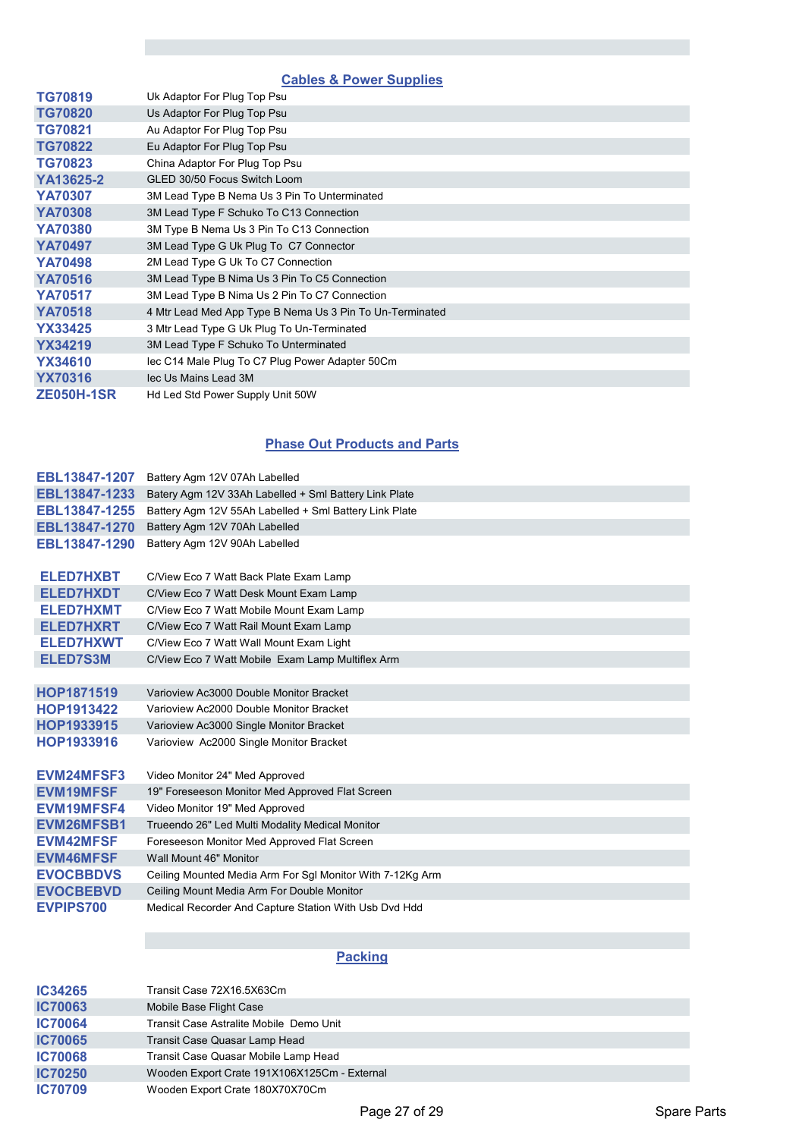# **Cables & Power Supplies**

| <b>TG70819</b>    | Uk Adaptor For Plug Top Psu                              |
|-------------------|----------------------------------------------------------|
| <b>TG70820</b>    | Us Adaptor For Plug Top Psu                              |
| <b>TG70821</b>    | Au Adaptor For Plug Top Psu                              |
| <b>TG70822</b>    | Eu Adaptor For Plug Top Psu                              |
| <b>TG70823</b>    | China Adaptor For Plug Top Psu                           |
| YA13625-2         | GLED 30/50 Focus Switch Loom                             |
| <b>YA70307</b>    | 3M Lead Type B Nema Us 3 Pin To Unterminated             |
| <b>YA70308</b>    | 3M Lead Type F Schuko To C13 Connection                  |
| <b>YA70380</b>    | 3M Type B Nema Us 3 Pin To C13 Connection                |
| <b>YA70497</b>    | 3M Lead Type G Uk Plug To C7 Connector                   |
| <b>YA70498</b>    | 2M Lead Type G Uk To C7 Connection                       |
| <b>YA70516</b>    | 3M Lead Type B Nima Us 3 Pin To C5 Connection            |
| <b>YA70517</b>    | 3M Lead Type B Nima Us 2 Pin To C7 Connection            |
| <b>YA70518</b>    | 4 Mtr Lead Med App Type B Nema Us 3 Pin To Un-Terminated |
| <b>YX33425</b>    | 3 Mtr Lead Type G Uk Plug To Un-Terminated               |
| <b>YX34219</b>    | 3M Lead Type F Schuko To Unterminated                    |
| <b>YX34610</b>    | lec C14 Male Plug To C7 Plug Power Adapter 50Cm          |
| <b>YX70316</b>    | lec Us Mains Lead 3M                                     |
| <b>ZE050H-1SR</b> | Hd Led Std Power Supply Unit 50W                         |
|                   |                                                          |

# **Phase Out Products and Parts**

| EBL13847-1207     | Battery Agm 12V 07Ah Labelled                             |
|-------------------|-----------------------------------------------------------|
| EBL13847-1233     | Batery Agm 12V 33Ah Labelled + Sml Battery Link Plate     |
| EBL13847-1255     | Battery Agm 12V 55Ah Labelled + Sml Battery Link Plate    |
| EBL13847-1270     | Battery Agm 12V 70Ah Labelled                             |
| EBL13847-1290     | Battery Agm 12V 90Ah Labelled                             |
| <b>ELED7HXBT</b>  | C/View Eco 7 Watt Back Plate Exam Lamp                    |
| <b>ELED7HXDT</b>  | C/View Eco 7 Watt Desk Mount Exam Lamp                    |
| <b>ELED7HXMT</b>  | C/View Eco 7 Watt Mobile Mount Exam Lamp                  |
| <b>ELED7HXRT</b>  | C/View Eco 7 Watt Rail Mount Exam Lamp                    |
| <b>ELED7HXWT</b>  | C/View Eco 7 Watt Wall Mount Exam Light                   |
| ELED7S3M          | C/View Eco 7 Watt Mobile Exam Lamp Multiflex Arm          |
|                   |                                                           |
| HOP1871519        | Varioview Ac3000 Double Monitor Bracket                   |
| HOP1913422        | Varioview Ac2000 Double Monitor Bracket                   |
| HOP1933915        | Varioview Ac3000 Single Monitor Bracket                   |
| HOP1933916        | Varioview Ac2000 Single Monitor Bracket                   |
|                   |                                                           |
| EVM24MFSF3        | Video Monitor 24" Med Approved                            |
| <b>EVM19MFSF</b>  | 19" Foreseeson Monitor Med Approved Flat Screen           |
| <b>EVM19MFSF4</b> | Video Monitor 19" Med Approved                            |
| <b>EVM26MFSB1</b> | Trueendo 26" Led Multi Modality Medical Monitor           |
| <b>EVM42MFSF</b>  | Foreseeson Monitor Med Approved Flat Screen               |
| <b>EVM46MFSF</b>  | Wall Mount 46" Monitor                                    |
| <b>EVOCBBDVS</b>  | Ceiling Mounted Media Arm For Sgl Monitor With 7-12Kg Arm |
| <b>EVOCBEBVD</b>  | Ceiling Mount Media Arm For Double Monitor                |
| <b>EVPIPS700</b>  | Medical Recorder And Capture Station With Usb Dvd Hdd     |
|                   |                                                           |

# **Packing**

| IC34265        | Transit Case 72X16.5X63Cm                    |
|----------------|----------------------------------------------|
| <b>IC70063</b> | Mobile Base Flight Case                      |
| <b>IC70064</b> | Transit Case Astralite Mobile Demo Unit      |
| <b>IC70065</b> | Transit Case Quasar Lamp Head                |
| <b>IC70068</b> | Transit Case Quasar Mobile Lamp Head         |
| <b>IC70250</b> | Wooden Export Crate 191X106X125Cm - External |
| <b>IC70709</b> | Wooden Export Crate 180X70X70Cm              |